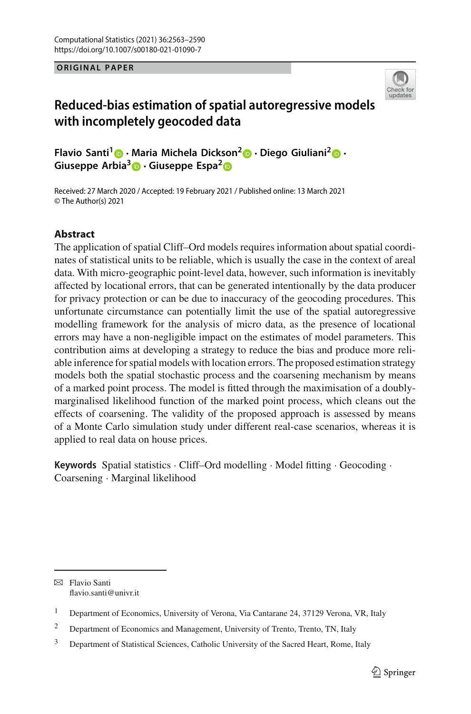#### **ORIGINAL PAPER ORIGINAL PAPER**



# **Reduced-bias estimation of spatial autoregressive models with incompletely geocoded data**

**Flavio Santi[1](http://orcid.org/0000-0002-2014-1981) · [Ma](http://orcid.org/0000-0001-5173-3931)ria Michela Dick[son](http://orcid.org/0000-0002-0331-3630)[2](http://orcid.org/0000-0002-4307-0469) · Diego Giuliani[2](http://orcid.org/0000-0002-7198-6714) · Giuseppe Arbia3 · Giuseppe Espa2**

Received: 27 March 2020 / Accepted: 19 February 2021 / Published online: 13 March 2021 © The Author(s) 2021

## **Abstract**

The application of spatial Cliff–Ord models requires information about spatial coordinates of statistical units to be reliable, which is usually the case in the context of areal data. With micro-geographic point-level data, however, such information is inevitably affected by locational errors, that can be generated intentionally by the data producer for privacy protection or can be due to inaccuracy of the geocoding procedures. This unfortunate circumstance can potentially limit the use of the spatial autoregressive modelling framework for the analysis of micro data, as the presence of locational errors may have a non-negligible impact on the estimates of model parameters. This contribution aims at developing a strategy to reduce the bias and produce more reliable inference for spatial models with location errors. The proposed estimation strategy models both the spatial stochastic process and the coarsening mechanism by means of a marked point process. The model is fitted through the maximisation of a doublymarginalised likelihood function of the marked point process, which cleans out the effects of coarsening. The validity of the proposed approach is assessed by means of a Monte Carlo simulation study under different real-case scenarios, whereas it is applied to real data on house prices.

**Keywords** Spatial statistics · Cliff–Ord modelling · Model fitting · Geocoding · Coarsening · Marginal likelihood

 $\boxtimes$  Flavio Santi flavio.santi@univr.it

<sup>&</sup>lt;sup>1</sup> Department of Economics, University of Verona, Via Cantarane 24, 37129 Verona, VR, Italy

<sup>&</sup>lt;sup>2</sup> Department of Economics and Management, University of Trento, Trento, TN, Italy

<sup>&</sup>lt;sup>3</sup> Department of Statistical Sciences, Catholic University of the Sacred Heart, Rome, Italy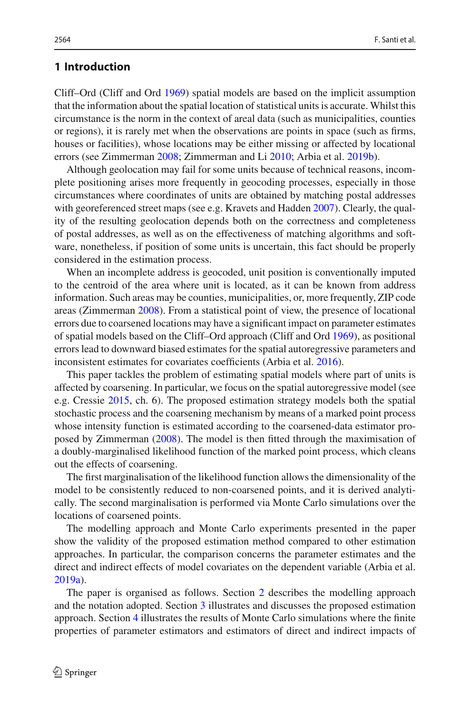## **1 Introduction**

Cliff–Ord (Cliff and Or[d](#page-27-0) [1969](#page-27-0)) spatial models are based on the implicit assumption that the information about the spatial location of statistical units is accurate. Whilst this circumstance is the norm in the context of areal data (such as municipalities, counties or regions), it is rarely met when the observations are points in space (such as firms, houses or facilities), whose locations may be either missing or affected by locational errors (see Zimmerma[n](#page-27-1) [2008;](#page-27-1) Zimmerman and L[i](#page-27-2) [2010;](#page-27-2) Arbia et al[.](#page-27-3) [2019b](#page-27-3)).

Although geolocation may fail for some units because of technical reasons, incomplete positioning arises more frequently in geocoding processes, especially in those circumstances where coordinates of units are obtained by matching postal addresses with georefere[n](#page-27-4)ced street maps (see e.g. Kravets and Hadden [2007](#page-27-4)). Clearly, the quality of the resulting geolocation depends both on the correctness and completeness of postal addresses, as well as on the effectiveness of matching algorithms and software, nonetheless, if position of some units is uncertain, this fact should be properly considered in the estimation process.

When an incomplete address is geocoded, unit position is conventionally imputed to the centroid of the area where unit is located, as it can be known from address information. Such areas may be counties, municipalities, or, more frequently, ZIP code areas (Zimmerma[n](#page-27-1) [2008\)](#page-27-1). From a statistical point of view, the presence of locational errors due to coarsened locations may have a significant impact on parameter estimates of spatial models based on the Cliff–Ord approach (Cliff and Or[d](#page-27-0) [1969](#page-27-0)), as positional errors lead to downward biased estimates for the spatial autoregressive parameters and inconsistent estimates for covariates coefficients (Arbia et al[.](#page-27-5) [2016](#page-27-5)).

This paper tackles the problem of estimating spatial models where part of units is affected by coarsening. In particular, we focus on the spatial autoregressive model (see e.g. Cressi[e](#page-27-6) [2015,](#page-27-6) ch. 6). The proposed estimation strategy models both the spatial stochastic process and the coarsening mechanism by means of a marked point process whose intensity function is estimated according to the coarsened-data estimator proposed by Zimmerma[n](#page-27-1) [\(2008](#page-27-1)). The model is then fitted through the maximisation of a doubly-marginalised likelihood function of the marked point process, which cleans out the effects of coarsening.

The first marginalisation of the likelihood function allows the dimensionality of the model to be consistently reduced to non-coarsened points, and it is derived analytically. The second marginalisation is performed via Monte Carlo simulations over the locations of coarsened points.

The modelling approach and Monte Carlo experiments presented in the paper show the validity of the proposed estimation method compared to other estimation approaches. In particular, the comparison concerns the parameter estimates and the direct and indirect effects of model covariates on the dependent variable (Arbia et al[.](#page-27-7) [2019a](#page-27-7)).

The paper is organised as follows. Section [2](#page-2-0) describes the modelling approach and the notation adopted. Section [3](#page-5-0) illustrates and discusses the proposed estimation approach. Section [4](#page-10-0) illustrates the results of Monte Carlo simulations where the finite properties of parameter estimators and estimators of direct and indirect impacts of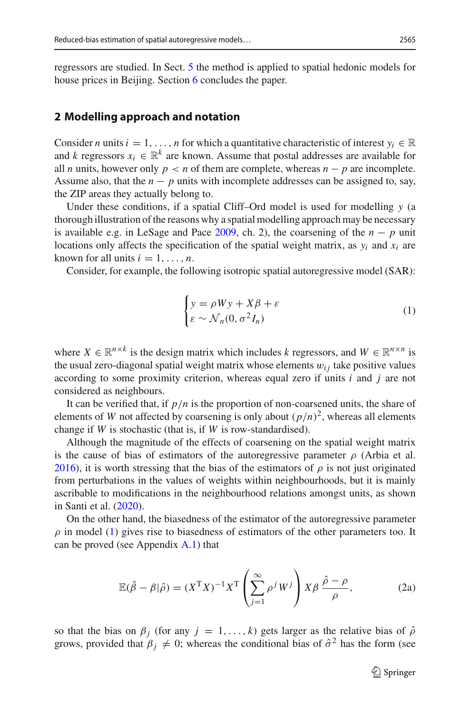regressors are studied. In Sect. [5](#page-21-0) the method is applied to spatial hedonic models for house prices in Beijing. Section [6](#page-23-0) concludes the paper.

### <span id="page-2-0"></span>**2 Modelling approach and notation**

Consider *n* units  $i = 1, \ldots, n$  for which a quantitative characteristic of interest  $y_i \in \mathbb{R}$ and *k* regressors  $x_i \in \mathbb{R}^k$  are known. Assume that postal addresses are available for all *n* units, however only  $p < n$  of them are complete, whereas  $n - p$  are incomplete. Assume also, that the  $n - p$  units with incomplete addresses can be assigned to, say, the ZIP areas they actually belong to.

Under these conditions, if a spatial Cliff–Ord model is used for modelling *y* (a thorough illustration of the reasons why a spatial modelling approach may be necessary is availabl[e](#page-27-8) e.g. in LeSage and Pace  $2009$ , ch. 2), the coarsening of the  $n - p$  unit locations only affects the specification of the spatial weight matrix, as  $y_i$  and  $x_i$  are known for all units  $i = 1, \ldots, n$ .

Consider, for example, the following isotropic spatial autoregressive model (SAR):

<span id="page-2-1"></span>
$$
\begin{cases}\ny = \rho Wy + X\beta + \varepsilon \\
\varepsilon \sim \mathcal{N}_n(0, \sigma^2 I_n)\n\end{cases} \tag{1}
$$

where  $X \in \mathbb{R}^{n \times k}$  is the design matrix which includes *k* regressors, and  $W \in \mathbb{R}^{n \times n}$  is the usual zero-diagonal spatial weight matrix whose elements  $w_{ij}$  take positive values according to some proximity criterion, whereas equal zero if units *i* and *j* are not considered as neighbours.

It can be verified that, if *p*/*n* is the proportion of non-coarsened units, the share of elements of *W* not affected by coarsening is only about  $(p/n)^2$ , whereas all elements change if *W* is stochastic (that is, if *W* is row-standardised).

Although the magnitude of the effects of coarsening on the spatial weight matrix is the cause of bias of estimators of the autoregressive parameter  $\rho$  (Arbia et al[.](#page-27-5) [2016\)](#page-27-5), it is worth stressing that the bias of the estimators of  $\rho$  is not just originated from perturbations in the values of weights within neighbourhoods, but it is mainly ascribable to modifications in the neighbourhood relations amongst units, as shown in Santi et al[.](#page-27-9) [\(2020](#page-27-9)).

On the other hand, the biasedness of the estimator of the autoregressive parameter  $\rho$  in model [\(1\)](#page-2-1) gives rise to biasedness of estimators of the other parameters too. It can be proved (see Appendix  $A(1)$ ) that

<span id="page-2-3"></span><span id="page-2-2"></span>
$$
\mathbb{E}(\hat{\beta} - \beta|\hat{\rho}) = (X^{\mathrm{T}}X)^{-1}X^{\mathrm{T}}\left(\sum_{j=1}^{\infty} \rho^j W^j\right) X\beta \frac{\hat{\rho} - \rho}{\rho},\tag{2a}
$$

so that the bias on  $\beta_j$  (for any  $j = 1, \ldots, k$ ) gets larger as the relative bias of  $\hat{\rho}$ grows, provided that  $\beta_j \neq 0$ ; whereas the conditional bias of  $\hat{\sigma}^2$  has the form (see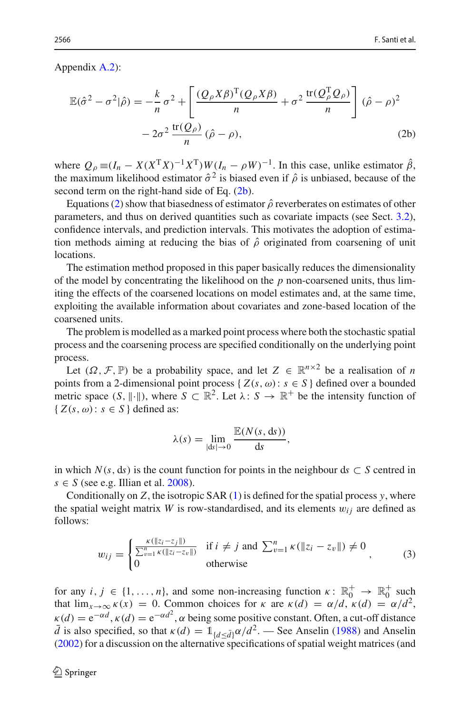Appendix [A.2\)](#page-25-0):

<span id="page-3-0"></span>
$$
\mathbb{E}(\hat{\sigma}^2 - \sigma^2|\hat{\rho}) = -\frac{k}{n}\sigma^2 + \left[\frac{(Q_{\rho}X\beta)^T(Q_{\rho}X\beta)}{n} + \sigma^2 \frac{\text{tr}(Q_{\rho}^T Q_{\rho})}{n}\right](\hat{\rho} - \rho)^2
$$

$$
-2\sigma^2 \frac{\text{tr}(Q_{\rho})}{n}(\hat{\rho} - \rho), \qquad (2b)
$$

where  $Q_\rho \equiv (I_n - X(X^T X)^{-1} X^T) W (I_n - \rho W)^{-1}$ . In this case, unlike estimator  $\hat{\beta}$ , the maximum likelihood estimator  $\hat{\sigma}^2$  is biased even if  $\hat{\rho}$  is unbiased, because of the second term on the right-hand side of Eq. [\(2b\)](#page-3-0).

Equations [\(2\)](#page-2-2) show that biasedness of estimator  $\hat{\rho}$  reverberates on estimates of other parameters, and thus on derived quantities such as covariate impacts (see Sect. [3.2\)](#page-8-0), confidence intervals, and prediction intervals. This motivates the adoption of estimation methods aiming at reducing the bias of  $\hat{\rho}$  originated from coarsening of unit locations.

The estimation method proposed in this paper basically reduces the dimensionality of the model by concentrating the likelihood on the *p* non-coarsened units, thus limiting the effects of the coarsened locations on model estimates and, at the same time, exploiting the available information about covariates and zone-based location of the coarsened units.

The problem is modelled as a marked point process where both the stochastic spatial process and the coarsening process are specified conditionally on the underlying point process.

Let  $(\Omega, \mathcal{F}, \mathbb{P})$  be a probability space, and let  $Z \in \mathbb{R}^{n \times 2}$  be a realisation of *n* points from a 2-dimensional point process {  $Z(s, \omega)$  :  $s \in S$  } defined over a bounded metric space  $(S, \|\cdot\|)$ , where  $S \subset \mathbb{R}^2$ . Let  $\lambda: S \to \mathbb{R}^+$  be the intensity function of  ${Z(s, \omega): s \in S}$  defined as:

$$
\lambda(s) = \lim_{|\mathrm{d}s| \to 0} \frac{\mathbb{E}(N(s, \mathrm{d}s))}{\mathrm{d}s},
$$

in which  $N(s, ds)$  is the count function for points in the neighbour  $ds \subset S$  centred in  $s \in S$  (see e[.](#page-27-10)g. Illian et al. [2008](#page-27-10)).

Conditionally on  $Z$ , the isotropic SAR  $(1)$  is defined for the spatial process  $y$ , where the spatial weight matrix *W* is row-standardised, and its elements  $w_{ij}$  are defined as follows:

<span id="page-3-1"></span>
$$
w_{ij} = \begin{cases} \frac{\kappa(\|z_i - z_j\|)}{\sum_{v=1}^n \kappa(\|z_i - z_v\|)} & \text{if } i \neq j \text{ and } \sum_{v=1}^n \kappa(\|z_i - z_v\|) \neq 0\\ 0 & \text{otherwise} \end{cases}
$$
 (3)

for any  $i, j \in \{1, ..., n\}$ , and some non-increasing function  $\kappa \colon \mathbb{R}_0^+ \to \mathbb{R}_0^+$  such that  $\lim_{x\to\infty} \kappa(x) = 0$ . Common choices for  $\kappa$  are  $\kappa(d) = \alpha/d$ ,  $\kappa(d) = \alpha/d^2$ ,  $\kappa(d) = e^{-\alpha d}$ ,  $\kappa(d) = e^{-\alpha d^2}$ ,  $\alpha$  being some positive constant. Often, a cut-off distance  $\bar{d}$  is also specified, so that  $\kappa(d) = 1_{\{d \leq \bar{d}\}} \alpha/d^2$ . — See A[n](#page-27-12)selin [\(1988](#page-27-11)) and Anselin [\(2002\)](#page-27-12) for a discussion on the alternative specifications of spatial weight matrices (and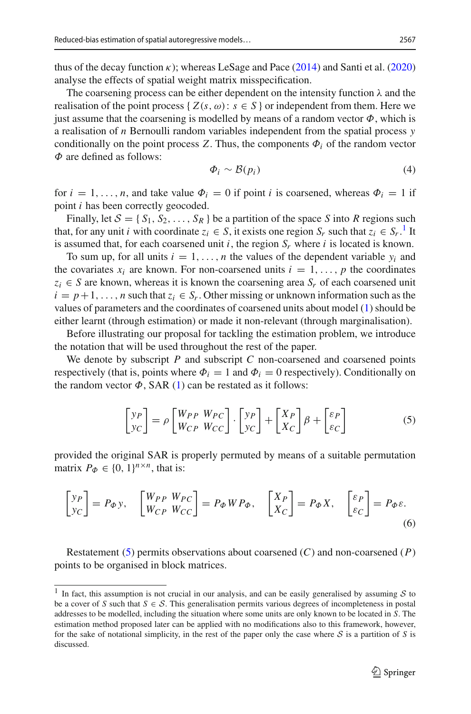thus of th[e](#page-27-13) decay function  $\kappa$ ); whereas LeSage and Pace [\(2014\)](#page-27-13) and Santi et al[.](#page-27-9) [\(2020\)](#page-27-9) analyse the effects of spatial weight matrix misspecification.

The coarsening process can be either dependent on the intensity function  $\lambda$  and the realisation of the point process {  $Z(s, \omega)$ :  $s \in S$  } or independent from them. Here we just assume that the coarsening is modelled by means of a random vector  $\Phi$ , which is a realisation of *n* Bernoulli random variables independent from the spatial process *y* conditionally on the point process *Z*. Thus, the components  $\Phi_i$  of the random vector  $\Phi$  are defined as follows:

<span id="page-4-2"></span>
$$
\Phi_i \sim \mathcal{B}(p_i) \tag{4}
$$

for  $i = 1, \ldots, n$ , and take value  $\Phi_i = 0$  if point *i* is coarsened, whereas  $\Phi_i = 1$  if point *i* has been correctly geocoded.

Finally, let  $S = \{S_1, S_2, \ldots, S_R\}$  be a partition of the space *S* into *R* regions such that, for any unit *i* with coordinate  $z_i \in S$ , it exists one region  $S_r$  such that  $z_i \in S_r$ .<sup>[1](#page-4-0)</sup> It is assumed that, for each coarsened unit  $i$ , the region  $S_r$  where  $i$  is located is known.

To sum up, for all units  $i = 1, \ldots, n$  the values of the dependent variable  $y_i$  and the covariates  $x_i$  are known. For non-coarsened units  $i = 1, \ldots, p$  the coordinates  $z_i \in S$  are known, whereas it is known the coarsening area  $S_r$  of each coarsened unit  $i = p+1, \ldots, n$  such that  $z_i \in S_r$ . Other missing or unknown information such as the values of parameters and the coordinates of coarsened units about model [\(1\)](#page-2-1) should be either learnt (through estimation) or made it non-relevant (through marginalisation).

Before illustrating our proposal for tackling the estimation problem, we introduce the notation that will be used throughout the rest of the paper.

We denote by subscript *P* and subscript *C* non-coarsened and coarsened points respectively (that is, points where  $\Phi_i = 1$  and  $\Phi_i = 0$  respectively). Conditionally on the random vector  $\Phi$ , SAR [\(1\)](#page-2-1) can be restated as it follows:

<span id="page-4-3"></span><span id="page-4-1"></span>
$$
\begin{bmatrix} y_P \\ y_C \end{bmatrix} = \rho \begin{bmatrix} W_{PP} & W_{PC} \\ W_{CP} & W_{CC} \end{bmatrix} \cdot \begin{bmatrix} y_P \\ y_C \end{bmatrix} + \begin{bmatrix} X_P \\ X_C \end{bmatrix} \beta + \begin{bmatrix} \varepsilon_P \\ \varepsilon_C \end{bmatrix} \tag{5}
$$

provided the original SAR is properly permuted by means of a suitable permutation matrix  $P_{\Phi} \in \{0, 1\}^{n \times n}$ , that is:

$$
\begin{bmatrix} y_P \\ y_C \end{bmatrix} = P_{\phi} y, \quad \begin{bmatrix} W_{PP} & W_{PC} \\ W_{CP} & W_{CC} \end{bmatrix} = P_{\phi} W P_{\phi}, \quad \begin{bmatrix} X_P \\ X_C \end{bmatrix} = P_{\phi} X, \quad \begin{bmatrix} \varepsilon_P \\ \varepsilon_C \end{bmatrix} = P_{\phi} \varepsilon. \tag{6}
$$

Restatement [\(5\)](#page-4-1) permits observations about coarsened (*C*) and non-coarsened (*P*) points to be organised in block matrices.

<span id="page-4-0"></span><sup>&</sup>lt;sup>1</sup> In fact, this assumption is not crucial in our analysis, and can be easily generalised by assuming  $S$  to be a cover of *S* such that  $S \in S$ . This generalisation permits various degrees of incompleteness in postal addresses to be modelled, including the situation where some units are only known to be located in *S*. The estimation method proposed later can be applied with no modifications also to this framework, however, for the sake of notational simplicity, in the rest of the paper only the case where *S* is a partition of *S* is discussed.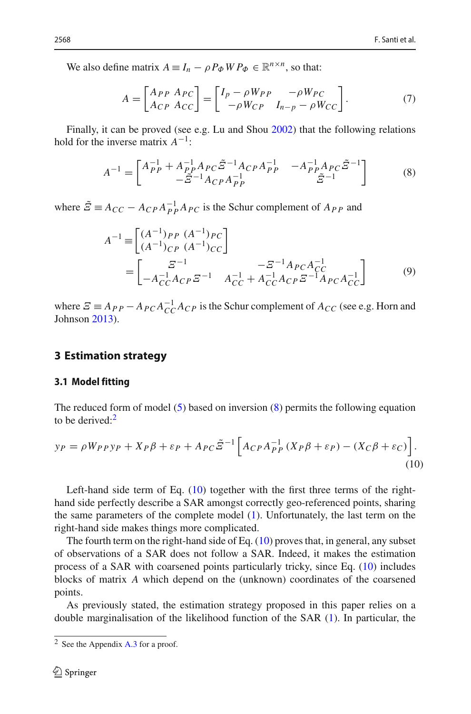We also define matrix  $A \equiv I_n - \rho P_{\Phi} W P_{\Phi} \in \mathbb{R}^{n \times n}$ , so that:

<span id="page-5-5"></span>
$$
A = \begin{bmatrix} A_{PP} & A_{PC} \\ A_{CP} & A_{CC} \end{bmatrix} = \begin{bmatrix} I_p - \rho W_{PP} & -\rho W_{PC} \\ -\rho W_{CP} & I_{n-p} - \rho W_{CC} \end{bmatrix} . \tag{7}
$$

Finally, it can be proved (see e.g. Lu and Sho[u](#page-27-14) [2002](#page-27-14)) that the following relations hold for the inverse matrix *A*−1:

<span id="page-5-1"></span>
$$
A^{-1} = \begin{bmatrix} A_{PP}^{-1} + A_{PP}^{-1} A_{PC} \tilde{\Xi}^{-1} A_{CP} A_{PP}^{-1} & -A_{PP}^{-1} A_{PC} \tilde{\Xi}^{-1} \\ -\tilde{\Xi}^{-1} A_{CP} A_{PP}^{-1} & \tilde{\Xi}^{-1} \end{bmatrix}
$$
(8)

where  $\tilde{\mathcal{Z}} = A_{CC} - A_{CP} A_{PP}^{-1} A_{PC}$  is the Schur complement of  $A_{PP}$  and

<span id="page-5-4"></span>
$$
A^{-1} = \begin{bmatrix} (A^{-1})_{PP} & (A^{-1})_{PC} \\ (A^{-1})_{CP} & (A^{-1})_{CC} \end{bmatrix}
$$
\n
$$
= \begin{bmatrix} \Sigma^{-1} & -\Sigma^{-1} A_{PC} A_{CC}^{-1} \\ -A_{CC}^{-1} A_{CP} \Sigma^{-1} & A_{CC}^{-1} + A_{CC}^{-1} A_{CP} \Sigma^{-1} A_{PC} A_{CC}^{-1} \end{bmatrix} \tag{9}
$$

where  $\mathcal{Z} \equiv A_{PP} - A_{PC} A_{CC}^{-1} A_{CP}$  is the Schur complement of  $A_{CC}$  (see e.g. Horn and Johnso[n](#page-27-15) [2013\)](#page-27-15).

## <span id="page-5-0"></span>**3 Estimation strategy**

### **3.1 Model fitting**

The reduced form of model [\(5\)](#page-4-1) based on inversion [\(8\)](#page-5-1) permits the following equation to be derived: $2$ 

<span id="page-5-3"></span>
$$
y_P = \rho W_{PP} y_P + X_P \beta + \varepsilon_P + A_{PC} \tilde{\Xi}^{-1} \left[ A_{CP} A_{PP}^{-1} (X_P \beta + \varepsilon_P) - (X_C \beta + \varepsilon_C) \right].
$$
\n(10)

Left-hand side term of Eq. [\(10\)](#page-5-3) together with the first three terms of the righthand side perfectly describe a SAR amongst correctly geo-referenced points, sharing the same parameters of the complete model [\(1\)](#page-2-1). Unfortunately, the last term on the right-hand side makes things more complicated.

The fourth term on the right-hand side of Eq.  $(10)$  proves that, in general, any subset of observations of a SAR does not follow a SAR. Indeed, it makes the estimation process of a SAR with coarsened points particularly tricky, since Eq. [\(10\)](#page-5-3) includes blocks of matrix *A* which depend on the (unknown) coordinates of the coarsened points.

As previously stated, the estimation strategy proposed in this paper relies on a double marginalisation of the likelihood function of the SAR [\(1\)](#page-2-1). In particular, the

<span id="page-5-2"></span> $2$  See the Appendix [A.3](#page-26-0) for a proof.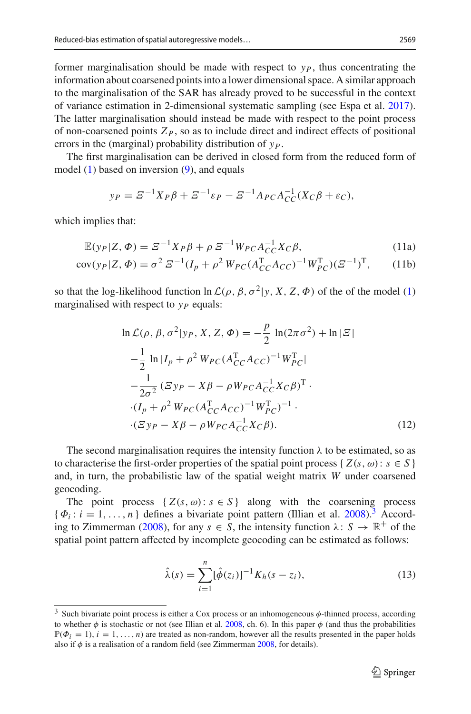former marginalisation should be made with respect to  $y<sub>P</sub>$ , thus concentrating the information about coarsened points into a lower dimensional space. A similar approach to the marginalisation of the SAR has already proved to be successful in the context of variance estimation in 2-dimensional systematic sampling (see Espa et al[.](#page-27-16) [2017](#page-27-16)). The latter marginalisation should instead be made with respect to the point process of non-coarsened points  $Z_P$ , so as to include direct and indirect effects of positional errors in the (marginal) probability distribution of *yP*.

The first marginalisation can be derived in closed form from the reduced form of model  $(1)$  based on inversion  $(9)$ , and equals

<span id="page-6-2"></span>
$$
y_P = \mathcal{Z}^{-1} X_P \beta + \mathcal{Z}^{-1} \varepsilon_P - \mathcal{Z}^{-1} A_{PC} A_{CC}^{-1} (X_C \beta + \varepsilon_C),
$$

which implies that:

$$
\mathbb{E}(y_P|Z,\Phi) = \mathcal{Z}^{-1}X_P\beta + \rho \mathcal{Z}^{-1}W_{PC}A_{CC}^{-1}X_C\beta,
$$
\n(11a)

$$
cov(y_P|Z,\Phi) = \sigma^2 \, \Sigma^{-1} (I_p + \rho^2 \, W_{PC} (A_{CC}^T A_{CC})^{-1} W_{PC}^T) (\Sigma^{-1})^T, \tag{11b}
$$

so that the log-likelihood function  $\ln \mathcal{L}(\rho, \beta, \sigma^2 | y, X, Z, \Phi)$  of the of the model [\(1\)](#page-2-1) marginalised with respect to  $y_P$  equals:

<span id="page-6-3"></span>
$$
\ln \mathcal{L}(\rho, \beta, \sigma^2 | y_P, X, Z, \Phi) = -\frac{p}{2} \ln(2\pi\sigma^2) + \ln|\mathcal{Z}|
$$
  
\n
$$
-\frac{1}{2} \ln|I_p + \rho^2 W_{PC}(A_{CC}^T A_{CC})^{-1} W_{PC}^T|
$$
  
\n
$$
-\frac{1}{2\sigma^2} (\mathcal{Z} y_P - X\beta - \rho W_{PC} A_{CC}^{-1} X_C \beta)^T.
$$
  
\n
$$
\cdot (I_p + \rho^2 W_{PC}(A_{CC}^T A_{CC})^{-1} W_{PC}^T)^{-1}.
$$
  
\n
$$
\cdot (\mathcal{Z} y_P - X\beta - \rho W_{PC} A_{CC}^{-1} X_C \beta).
$$
 (12)

The second marginalisation requires the intensity function  $\lambda$  to be estimated, so as to characterise the first-order properties of the spatial point process {  $Z(s, \omega)$ :  $s \in S$  } and, in turn, the probabilistic law of the spatial weight matrix *W* under coarsened geocoding.

The point process  $\{Z(s, \omega): s \in S\}$  along with the coarsening process  $\{\Phi_i : i = 1, \ldots, n\}$  defines a bivariate point pattern (Illian et al[.](#page-27-10) [2008](#page-27-10)).<sup>[3](#page-6-0)</sup> Accordi[n](#page-27-1)g to Zimmerman [\(2008\)](#page-27-1), for any  $s \in S$ , the intensity function  $\lambda: S \to \mathbb{R}^+$  of the spatial point pattern affected by incomplete geocoding can be estimated as follows:

<span id="page-6-1"></span>
$$
\hat{\lambda}(s) = \sum_{i=1}^{n} [\hat{\phi}(z_i)]^{-1} K_h(s - z_i),
$$
\n(13)

<span id="page-6-0"></span><sup>3</sup> Such bivariate point process is either a Cox process or an inhomogeneous φ-thinned process, according to whether  $\phi$  is stochastic or not (see Illian et al[.](#page-27-10) [2008](#page-27-10), ch. 6). In this paper  $\phi$  (and thus the probabilities  $\mathbb{P}(\Phi_i = 1), i = 1, \ldots, n$  are treated as non-random, however all the results presented in the paper holds also if  $\phi$  is a realisatio[n](#page-27-1) of a random field (see Zimmerman [2008](#page-27-1), for details).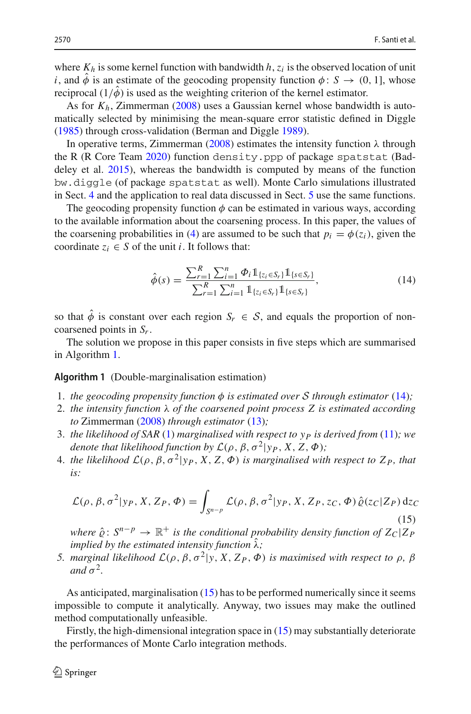where  $K_h$  is some kernel function with bandwidth  $h$ ,  $z_i$  is the observed location of unit *i*, and  $\hat{\phi}$  is an estimate of the geocoding propensity function  $\phi$ : *S*  $\rightarrow$  (0, 1], whose reciprocal  $(1/\phi)$  is used as the weighting criterion of the kernel estimator.

As for  $K_h$ , Zimmerma[n](#page-27-1) [\(2008\)](#page-27-1) uses a Gaussian kernel whose bandwidth is automatically selected by minimising the mean-square error statistic defined in Diggl[e](#page-27-17) [\(1985\)](#page-27-17) through cross-validation (Berman and Diggle [1989\)](#page-27-18).

I[n](#page-27-1) operative terms, Zimmerman [\(2008](#page-27-1)) estimates the intensity function  $\lambda$  through the R (R Core Tea[m](#page-27-19) [2020\)](#page-27-19) function density.ppp of package spatstat (Baddeley et al[.](#page-27-20) [2015\)](#page-27-20), whereas the bandwidth is computed by means of the function bw.diggle (of package spatstat as well). Monte Carlo simulations illustrated in Sect. [4](#page-10-0) and the application to real data discussed in Sect. [5](#page-21-0) use the same functions.

The geocoding propensity function  $\phi$  can be estimated in various ways, according to the available information about the coarsening process. In this paper, the values of the coarsening probabilities in [\(4\)](#page-4-2) are assumed to be such that  $p_i = \phi(z_i)$ , given the coordinate  $z_i \in S$  of the unit *i*. It follows that:

<span id="page-7-1"></span>
$$
\hat{\phi}(s) = \frac{\sum_{r=1}^{R} \sum_{i=1}^{n} \Phi_i \mathbb{1}_{\{z_i \in S_r\}} \mathbb{1}_{\{s \in S_r\}}}{\sum_{r=1}^{R} \sum_{i=1}^{n} \mathbb{1}_{\{z_i \in S_r\}} \mathbb{1}_{\{s \in S_r\}}},
$$
\n(14)

so that  $\hat{\phi}$  is constant over each region  $S_r \in \mathcal{S}$ , and equals the proportion of noncoarsened points in *Sr*.

<span id="page-7-0"></span>The solution we propose in this paper consists in five steps which are summarised in Algorithm [1.](#page-7-0)

### **Algorithm 1** (Double-marginalisation estimation)

- 1. *the geocoding propensity function*  $\phi$  *is estimated over S through estimator* [\(14\)](#page-7-1);
- 2. *the intensity function* λ *of the coarsened point process Z is estimated according to* Zimmerma[n](#page-27-1) [\(2008\)](#page-27-1) *through estimator* [\(13\)](#page-6-1)*;*
- 3. *the likelihood of SAR* [\(1\)](#page-2-1) *marginalised with respect to yP is derived from* [\(11\)](#page-6-2)*; we denote that likelihood function by*  $\mathcal{L}(\rho, \beta, \sigma^2 | y_P, X, Z, \Phi)$ ;
- 4. *the likelihood*  $\mathcal{L}(\rho, \beta, \sigma^2 | y_P, X, Z, \Phi)$  *is marginalised with respect to*  $Z_P$ *, that is:*

<span id="page-7-2"></span>
$$
\mathcal{L}(\rho,\beta,\sigma^2|y_P,X,Z_P,\Phi) = \int_{S^{n-p}} \mathcal{L}(\rho,\beta,\sigma^2|y_P,X,Z_P,z_C,\Phi) \,\hat{\varrho}(z_C|Z_P) \,dz_C
$$
\n(15)

*where*  $\hat{\rho}$ :  $S^{n-p} \to \mathbb{R}^+$  *is the conditional probability density function of*  $Z_C|Z_P$ *implied by the estimated intensity function*  $\hat{\lambda}$ *;* 

*5. marginal likelihood*  $L(\rho, \beta, \sigma^2 | y, X, Z_P, \Phi)$  *is maximised with respect to*  $ρ, β$ *and*  $\sigma^2$ *.* 

As anticipated, marginalisation [\(15\)](#page-7-2) has to be performed numerically since it seems impossible to compute it analytically. Anyway, two issues may make the outlined method computationally unfeasible.

Firstly, the high-dimensional integration space in [\(15\)](#page-7-2) may substantially deteriorate the performances of Monte Carlo integration methods.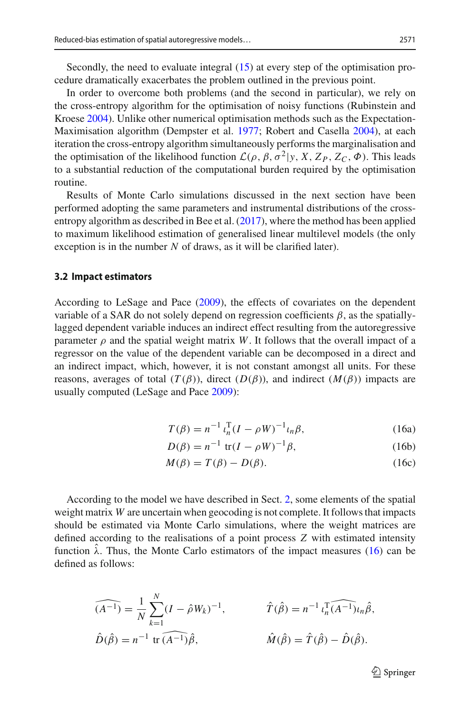Secondly, the need to evaluate integral [\(15\)](#page-7-2) at every step of the optimisation procedure dramatically exacerbates the problem outlined in the previous point.

In order to overcome both problems (and the second in particular), we rely on the cross-entropy algorithm for the optimisation of noisy functions (Rubinstein and Kroes[e](#page-27-21) [2004](#page-27-21)). Unlike other numerical optimisation methods such as the Expectation-Maximisation algorithm (Dempster et al[.](#page-27-22) [1977;](#page-27-22) Robert and Casell[a](#page-27-23) [2004\)](#page-27-23), at each iteration the cross-entropy algorithm simultaneously performs the marginalisation and the optimisation of the likelihood function  $\mathcal{L}(\rho, \beta, \sigma^2 | y, X, Z_P, Z_C, \Phi)$ . This leads to a substantial reduction of the computational burden required by the optimisation routine.

Results of Monte Carlo simulations discussed in the next section have been performed adopting the same parameters and instrumental distributions of the cross-entropy algorithm as described in Bee et al[.](#page-27-24)  $(2017)$ , where the method has been applied to maximum likelihood estimation of generalised linear multilevel models (the only exception is in the number *N* of draws, as it will be clarified later).

#### <span id="page-8-0"></span>**3.2 Impact estimators**

According to LeSage and Pac[e](#page-27-8) [\(2009\)](#page-27-8), the effects of covariates on the dependent variable of a SAR do not solely depend on regression coefficients  $\beta$ , as the spatiallylagged dependent variable induces an indirect effect resulting from the autoregressive parameter  $\rho$  and the spatial weight matrix *W*. It follows that the overall impact of a regressor on the value of the dependent variable can be decomposed in a direct and an indirect impact, which, however, it is not constant amongst all units. For these reasons, averages of total  $(T(\beta))$ , direct  $(D(\beta))$ , and indirect  $(M(\beta))$  impacts are usually computed (LeSage and Pac[e](#page-27-8) [2009](#page-27-8)):

<span id="page-8-1"></span>
$$
T(\beta) = n^{-1} \iota_n^{\mathrm{T}} (I - \rho W)^{-1} \iota_n \beta,
$$
 (16a)

$$
D(\beta) = n^{-1} \text{ tr}(I - \rho W)^{-1} \beta,
$$
 (16b)

$$
M(\beta) = T(\beta) - D(\beta). \tag{16c}
$$

According to the model we have described in Sect. [2,](#page-2-0) some elements of the spatial weight matrix *W* are uncertain when geocoding is not complete. It follows that impacts should be estimated via Monte Carlo simulations, where the weight matrices are defined according to the realisations of a point process *Z* with estimated intensity function  $\hat{\lambda}$ . Thus, the Monte Carlo estimators of the impact measures [\(16\)](#page-8-1) can be defined as follows:

$$
\widehat{(A^{-1})} = \frac{1}{N} \sum_{k=1}^{N} (I - \hat{\rho} W_k)^{-1}, \qquad \hat{T}(\hat{\beta}) = n^{-1} \iota_n^{\text{T}} \widehat{(A^{-1})} \iota_n \hat{\beta},
$$
  

$$
\hat{D}(\hat{\beta}) = n^{-1} \text{ tr } \widehat{(A^{-1})} \hat{\beta}, \qquad \hat{M}(\hat{\beta}) = \hat{T}(\hat{\beta}) - \hat{D}(\hat{\beta}).
$$

 $\mathcal{D}$  Springer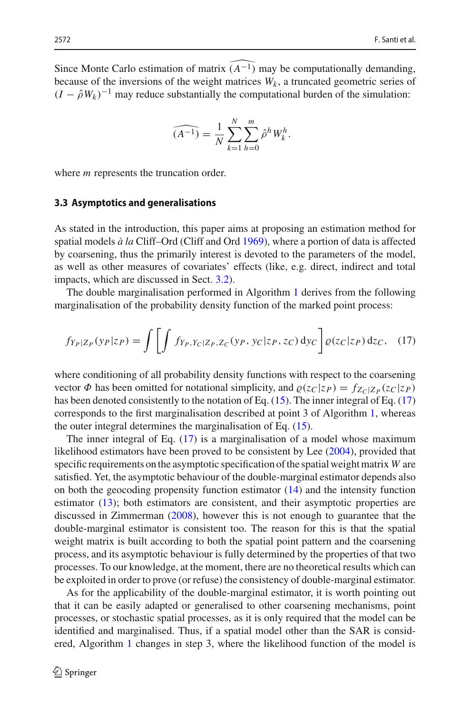Since Monte Carlo estimation of matrix  $\widehat{(A^{-1})}$  may be computationally demanding, because of the inversions of the weight matrices  $W_k$ , a truncated geometric series of  $(I - \hat{\rho}W_k)^{-1}$  may reduce substantially the computational burden of the simulation:

$$
\widehat{(A^{-1})} = \frac{1}{N} \sum_{k=1}^{N} \sum_{h=0}^{m} \widehat{\rho}^h W_k^h.
$$

where *m* represents the truncation order.

#### **3.3 Asymptotics and generalisations**

As stated in the introduction, this paper aims at proposing an estimation method for spatial models *à la* Cliff–Ord (Cliff and Or[d](#page-27-0) [1969](#page-27-0)), where a portion of data is affected by coarsening, thus the primarily interest is devoted to the parameters of the model, as well as other measures of covariates' effects (like, e.g. direct, indirect and total impacts, which are discussed in Sect. [3.2\)](#page-8-0).

The double marginalisation performed in Algorithm [1](#page-7-0) derives from the following marginalisation of the probability density function of the marked point process:

<span id="page-9-0"></span>
$$
f_{Y_P|Z_P}(y_P|z_P) = \int \left[ \int f_{Y_P, Y_C|Z_P, Z_C}(y_P, y_C|z_P, z_C) \, dy_C \right] \varrho(z_C|z_P) \, dz_C, \quad (17)
$$

where conditioning of all probability density functions with respect to the coarsening vector  $\Phi$  has been omitted for notational simplicity, and  $\varrho(z_C|z_P) = f_{Z_C|Z_P}(z_C|z_P)$ has been denoted consistently to the notation of Eq. [\(15\)](#page-7-2). The inner integral of Eq. [\(17\)](#page-9-0) corresponds to the first marginalisation described at point 3 of Algorithm [1,](#page-7-0) whereas the outer integral determines the marginalisation of Eq. [\(15\)](#page-7-2).

The inner integral of Eq. [\(17\)](#page-9-0) is a marginalisation of a model whose maximum likelihood estimators have been proved to be consistent by Le[e](#page-27-25) [\(2004\)](#page-27-25), provided that specific requirements on the asymptotic specification of the spatial weight matrix *W* are satisfied. Yet, the asymptotic behaviour of the double-marginal estimator depends also on both the geocoding propensity function estimator [\(14\)](#page-7-1) and the intensity function estimator [\(13\)](#page-6-1); both estimators are consistent, and their asymptotic properties are discussed in Zimmerma[n](#page-27-1) [\(2008\)](#page-27-1), however this is not enough to guarantee that the double-marginal estimator is consistent too. The reason for this is that the spatial weight matrix is built according to both the spatial point pattern and the coarsening process, and its asymptotic behaviour is fully determined by the properties of that two processes. To our knowledge, at the moment, there are no theoretical results which can be exploited in order to prove (or refuse) the consistency of double-marginal estimator.

As for the applicability of the double-marginal estimator, it is worth pointing out that it can be easily adapted or generalised to other coarsening mechanisms, point processes, or stochastic spatial processes, as it is only required that the model can be identified and marginalised. Thus, if a spatial model other than the SAR is considered, Algorithm [1](#page-7-0) changes in step 3, where the likelihood function of the model is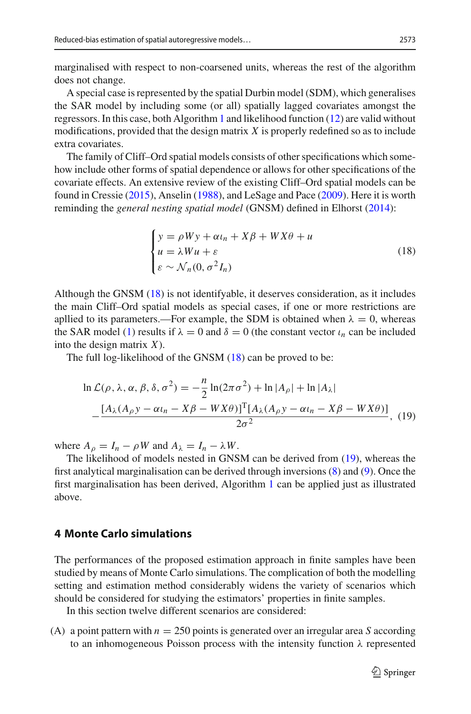marginalised with respect to non-coarsened units, whereas the rest of the algorithm does not change.

A special case is represented by the spatial Durbin model (SDM), which generalises the SAR model by including some (or all) spatially lagged covariates amongst the regressors. In this case, both Algorithm [1](#page-7-0) and likelihood function [\(12\)](#page-6-3) are valid without modifications, provided that the design matrix *X* is properly redefined so as to include extra covariates.

The family of Cliff–Ord spatial models consists of other specifications which somehow include other forms of spatial dependence or allows for other specifications of the covariate effects. An extensive review of the existing Cliff–Ord spatial models can be found in Cressi[e](#page-27-6) [\(2015](#page-27-6)), Anseli[n](#page-27-11) [\(1988\)](#page-27-11), and LeSage and Pac[e](#page-27-8) [\(2009\)](#page-27-8). Here it is worth reminding the *general nesting spatial model* (GNSM) defined in Elhors[t](#page-27-26) [\(2014](#page-27-26)):

<span id="page-10-1"></span>
$$
\begin{cases}\ny = \rho Wy + \alpha t_n + X\beta + WX\theta + u \\
u = \lambda Wu + \varepsilon \\
\varepsilon \sim \mathcal{N}_n(0, \sigma^2 I_n)\n\end{cases}
$$
\n(18)

Although the GNSM [\(18\)](#page-10-1) is not identifyable, it deserves consideration, as it includes the main Cliff–Ord spatial models as special cases, if one or more restrictions are apllied to its parameters.—For example, the SDM is obtained when  $\lambda = 0$ , whereas the SAR model [\(1\)](#page-2-1) results if  $\lambda = 0$  and  $\delta = 0$  (the constant vector  $\iota_n$  can be included into the design matrix *X*).

The full log-likelihood of the GNSM [\(18\)](#page-10-1) can be proved to be:

<span id="page-10-2"></span>
$$
\ln \mathcal{L}(\rho, \lambda, \alpha, \beta, \delta, \sigma^2) = -\frac{n}{2} \ln(2\pi\sigma^2) + \ln |A_{\rho}| + \ln |A_{\lambda}|
$$

$$
-\frac{[A_{\lambda}(A_{\rho}y - \alpha\iota_n - X\beta - WX\theta)]^{\mathrm{T}}[A_{\lambda}(A_{\rho}y - \alpha\iota_n - X\beta - WX\theta)]}{2\sigma^2}, (19)
$$

where  $A_{\rho} = I_n - \rho W$  and  $A_{\lambda} = I_n - \lambda W$ .

The likelihood of models nested in GNSM can be derived from [\(19\)](#page-10-2), whereas the first analytical marginalisation can be derived through inversions [\(8\)](#page-5-1) and [\(9\)](#page-5-4). Once the first marginalisation has been derived, Algorithm [1](#page-7-0) can be applied just as illustrated above.

### <span id="page-10-0"></span>**4 Monte Carlo simulations**

The performances of the proposed estimation approach in finite samples have been studied by means of Monte Carlo simulations. The complication of both the modelling setting and estimation method considerably widens the variety of scenarios which should be considered for studying the estimators' properties in finite samples.

In this section twelve different scenarios are considered:

(A) a point pattern with  $n = 250$  points is generated over an irregular area *S* according to an inhomogeneous Poisson process with the intensity function  $\lambda$  represented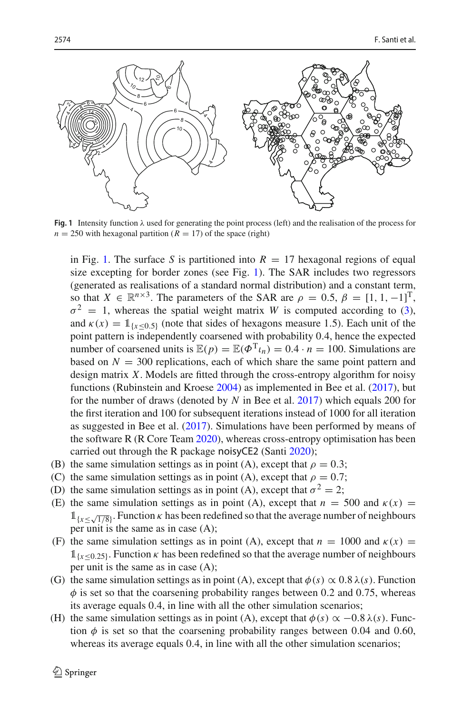

<span id="page-11-0"></span>**Fig. 1** Intensity function  $\lambda$  used for generating the point process (left) and the realisation of the process for  $n = 250$  with hexagonal partition ( $R = 17$ ) of the space (right)

in Fig. [1.](#page-11-0) The surface *S* is partitioned into  $R = 17$  hexagonal regions of equal size excepting for border zones (see Fig. [1\)](#page-11-0). The SAR includes two regressors (generated as realisations of a standard normal distribution) and a constant term, so that  $X \in \mathbb{R}^{n \times 3}$ . The parameters of the SAR are  $\rho = 0.5$ ,  $\beta = [1, 1, -1]^T$ ,  $\sigma^2 = 1$ , whereas the spatial weight matrix *W* is computed according to [\(3\)](#page-3-1), and  $\kappa(x) = 1$ <sub>{*x*<0.5}</sub> (note that sides of hexagons measure 1.5). Each unit of the point pattern is independently coarsened with probability 0.4, hence the expected number of coarsened units is  $\mathbb{E}(p) = \mathbb{E}(\Phi^T \iota_n) = 0.4 \cdot n = 100$ . Simulations are based on  $N = 300$  replications, each of which share the same point pattern and design matrix *X*. Models are fitted through the cross-entropy algorithm for noisy functions (Rubinstein and Kroes[e](#page-27-21) [2004](#page-27-21)) as implemented in Bee et al[.](#page-27-24) [\(2017](#page-27-24)), but for the number of draws (denoted by *N* in Bee et al[.](#page-27-24) [2017\)](#page-27-24) which equals 200 for the first iteration and 100 for subsequent iterations instead of 1000 for all iteration as suggested in Bee et al[.](#page-27-24) [\(2017](#page-27-24)). Simulations have been performed by means of the software R (R Core Tea[m](#page-27-19) [2020\)](#page-27-19), whereas cross-entropy optimisation has been carried out through the R package noisyCE2 (Sant[i](#page-27-27) [2020](#page-27-27));

- (B) the same simulation settings as in point (A), except that  $\rho = 0.3$ ;
- (C) the same simulation settings as in point (A), except that  $\rho = 0.7$ ;
- (D) the same simulation settings as in point (A), except that  $\sigma^2 = 2$ ;
- (E) the same simulation settings as in point (A), except that  $n = 500$  and  $\kappa(x) =$  $1_{\{x \leq \sqrt{1/8}\}}$ . Function  $\kappa$  has been redefined so that the average number of neighbours per unit is the same as in case (A);
- (F) the same simulation settings as in point (A), except that  $n = 1000$  and  $\kappa(x) =$  $1_{x\leq 0.25}$ . Function  $\kappa$  has been redefined so that the average number of neighbours per unit is the same as in case (A);
- (G) the same simulation settings as in point (A), except that  $\phi(s) \propto 0.8 \lambda(s)$ . Function  $\phi$  is set so that the coarsening probability ranges between 0.2 and 0.75, whereas its average equals 0.4, in line with all the other simulation scenarios;
- (H) the same simulation settings as in point (A), except that  $\phi(s) \propto -0.8 \lambda(s)$ . Function  $\phi$  is set so that the coarsening probability ranges between 0.04 and 0.60, whereas its average equals 0.4, in line with all the other simulation scenarios;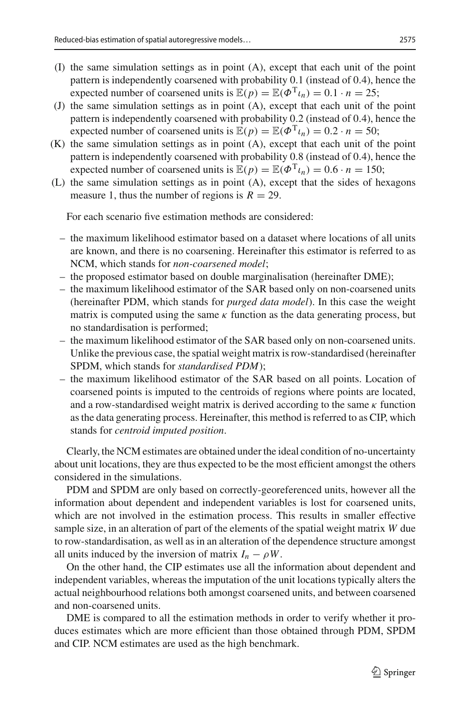- (I) the same simulation settings as in point (A), except that each unit of the point pattern is independently coarsened with probability 0.1 (instead of 0.4), hence the expected number of coarsened units is  $\mathbb{E}(p) = \mathbb{E}(\Phi^T \iota_n) = 0.1 \cdot n = 25$ ;
- (J) the same simulation settings as in point (A), except that each unit of the point pattern is independently coarsened with probability 0.2 (instead of 0.4), hence the expected number of coarsened units is  $\mathbb{E}(p) = \mathbb{E}(\Phi^T \iota_n) = 0.2 \cdot n = 50;$
- (K) the same simulation settings as in point (A), except that each unit of the point pattern is independently coarsened with probability 0.8 (instead of 0.4), hence the expected number of coarsened units is  $\mathbb{E}(p) = \mathbb{E}(\Phi^T \iota_n) = 0.6 \cdot n = 150$ ;
- (L) the same simulation settings as in point (A), except that the sides of hexagons measure 1, thus the number of regions is  $R = 29$ .

For each scenario five estimation methods are considered:

- the maximum likelihood estimator based on a dataset where locations of all units are known, and there is no coarsening. Hereinafter this estimator is referred to as NCM, which stands for *non-coarsened model*;
- the proposed estimator based on double marginalisation (hereinafter DME);
- the maximum likelihood estimator of the SAR based only on non-coarsened units (hereinafter PDM, which stands for *purged data model*). In this case the weight matrix is computed using the same  $\kappa$  function as the data generating process, but no standardisation is performed;
- the maximum likelihood estimator of the SAR based only on non-coarsened units. Unlike the previous case, the spatial weight matrix is row-standardised (hereinafter SPDM, which stands for *standardised PDM*);
- the maximum likelihood estimator of the SAR based on all points. Location of coarsened points is imputed to the centroids of regions where points are located, and a row-standardised weight matrix is derived according to the same  $\kappa$  function as the data generating process. Hereinafter, this method is referred to as CIP, which stands for *centroid imputed position*.

Clearly, the NCM estimates are obtained under the ideal condition of no-uncertainty about unit locations, they are thus expected to be the most efficient amongst the others considered in the simulations.

PDM and SPDM are only based on correctly-georeferenced units, however all the information about dependent and independent variables is lost for coarsened units, which are not involved in the estimation process. This results in smaller effective sample size, in an alteration of part of the elements of the spatial weight matrix *W* due to row-standardisation, as well as in an alteration of the dependence structure amongst all units induced by the inversion of matrix  $I_n - \rho W$ .

On the other hand, the CIP estimates use all the information about dependent and independent variables, whereas the imputation of the unit locations typically alters the actual neighbourhood relations both amongst coarsened units, and between coarsened and non-coarsened units.

DME is compared to all the estimation methods in order to verify whether it produces estimates which are more efficient than those obtained through PDM, SPDM and CIP. NCM estimates are used as the high benchmark.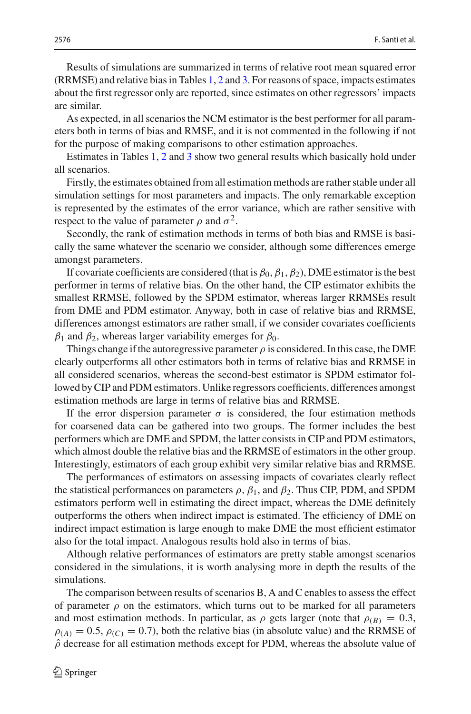As expected, in all scenarios the NCM estimator is the best performer for all parameters both in terms of bias and RMSE, and it is not commented in the following if not for the purpose of making comparisons to other estimation approaches.

Estimates in Tables [1,](#page-14-0) [2](#page-16-0) and [3](#page-18-0) show two general results which basically hold under all scenarios.

Firstly, the estimates obtained from all estimation methods are rather stable under all simulation settings for most parameters and impacts. The only remarkable exception is represented by the estimates of the error variance, which are rather sensitive with respect to the value of parameter  $\rho$  and  $\sigma^2$ .

Secondly, the rank of estimation methods in terms of both bias and RMSE is basically the same whatever the scenario we consider, although some differences emerge amongst parameters.

If covariate coefficients are considered (that is  $\beta_0$ ,  $\beta_1$ ,  $\beta_2$ ), DME estimator is the best performer in terms of relative bias. On the other hand, the CIP estimator exhibits the smallest RRMSE, followed by the SPDM estimator, whereas larger RRMSEs result from DME and PDM estimator. Anyway, both in case of relative bias and RRMSE, differences amongst estimators are rather small, if we consider covariates coefficients  $β_1$  and  $β_2$ , whereas larger variability emerges for  $β_0$ .

Things change if the autoregressive parameter  $\rho$  is considered. In this case, the DME clearly outperforms all other estimators both in terms of relative bias and RRMSE in all considered scenarios, whereas the second-best estimator is SPDM estimator followed by CIP and PDM estimators. Unlike regressors coefficients, differences amongst estimation methods are large in terms of relative bias and RRMSE.

If the error dispersion parameter  $\sigma$  is considered, the four estimation methods for coarsened data can be gathered into two groups. The former includes the best performers which are DME and SPDM, the latter consists in CIP and PDM estimators, which almost double the relative bias and the RRMSE of estimators in the other group. Interestingly, estimators of each group exhibit very similar relative bias and RRMSE.

The performances of estimators on assessing impacts of covariates clearly reflect the statistical performances on parameters  $\rho$ ,  $\beta_1$ , and  $\beta_2$ . Thus CIP, PDM, and SPDM estimators perform well in estimating the direct impact, whereas the DME definitely outperforms the others when indirect impact is estimated. The efficiency of DME on indirect impact estimation is large enough to make DME the most efficient estimator also for the total impact. Analogous results hold also in terms of bias.

Although relative performances of estimators are pretty stable amongst scenarios considered in the simulations, it is worth analysing more in depth the results of the simulations.

The comparison between results of scenarios B, A and C enables to assess the effect of parameter  $\rho$  on the estimators, which turns out to be marked for all parameters and most estimation methods. In particular, as  $\rho$  gets larger (note that  $\rho_{(B)} = 0.3$ ,  $\rho_{(A)} = 0.5$ ,  $\rho_{(C)} = 0.7$ ), both the relative bias (in absolute value) and the RRMSE of  $\hat{\rho}$  decrease for all estimation methods except for PDM, whereas the absolute value of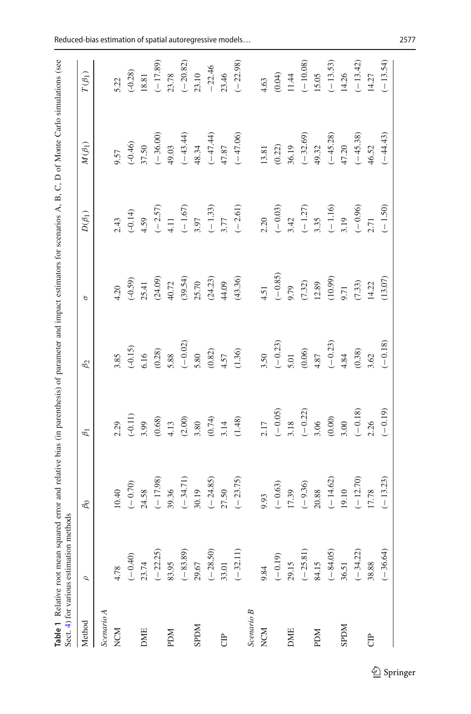|              | Sect. 4) for various estimation methods | Table 1 Relative root mean squared error and relative bias (in parenthesis) of parameter and impact estimators for scenarios A, B, C, D of Monte Carlo simulations (see |                                                           |                            |                   |                                                |                                                         |                                                                      |
|--------------|-----------------------------------------|-------------------------------------------------------------------------------------------------------------------------------------------------------------------------|-----------------------------------------------------------|----------------------------|-------------------|------------------------------------------------|---------------------------------------------------------|----------------------------------------------------------------------|
| Method       | $\sigma$                                | $\beta_0$                                                                                                                                                               | $\beta_1$                                                 | $\beta_2$                  | $\sigma$          | $D(\beta_1)$                                   | $M(\beta_1)$                                            | $T(\beta_1)$                                                         |
| Scenario A   |                                         |                                                                                                                                                                         |                                                           |                            |                   |                                                |                                                         |                                                                      |
| NCM          | 4.78                                    | 10.40                                                                                                                                                                   | 2.29                                                      | 3.85                       | 4.20              | 2.43                                           | 9.57                                                    |                                                                      |
|              | $(-0.40)$                               | $(-0.70)$                                                                                                                                                               | $(-0.11)$                                                 | $(-0.15)$                  | $(-0.59)$         | $(-0.14)$                                      | $(-0.46)$                                               | $5.22$<br>(-0.28)                                                    |
| <b>DME</b>   | 23.74                                   | 24.58                                                                                                                                                                   | 3.99                                                      | 6.16                       | 25.41             | 4.59                                           | 37.50                                                   |                                                                      |
|              | $(-22.25)$                              | $(-17.98)$                                                                                                                                                              | (0.68)                                                    | (0.28)                     | (24.09)           |                                                |                                                         | 18.81<br>$(-17.89)$<br>$23.78$<br>$(-20.82)$<br>$-22.46$<br>$-22.46$ |
| <b>NUG</b>   | 83.95                                   | 39.36                                                                                                                                                                   |                                                           | 5.88                       | 40.72             | $(-2.57)$<br>4.11<br>$(-1.67)$<br>3.97         | $(-36.00)$<br>49.03<br>$(-43.44)$<br>$(+3.34)$          |                                                                      |
|              |                                         |                                                                                                                                                                         | $4.13$<br>(2.00)                                          | $(-0.02)$                  | (39.54)           |                                                |                                                         |                                                                      |
| <b>NIGRS</b> | $(-83.89)$<br>29.67                     | $(-34.71)$<br>30.19                                                                                                                                                     |                                                           | 5.80                       | 25.70             |                                                |                                                         |                                                                      |
|              | $(-28.50)$<br>33.01                     | $(-24.85)$<br>27.50                                                                                                                                                     |                                                           |                            | (24.23)           | $\begin{array}{c}(-1.33)\\3.77\end{array}$     | $(-47.44)$<br>47.87                                     |                                                                      |
| e<br>U       |                                         |                                                                                                                                                                         | $3.80$<br>(0.74)<br>3.14                                  |                            | 44.09             |                                                |                                                         |                                                                      |
|              | $(-32.11)$                              | $(-23.75)$                                                                                                                                                              | (1.48)                                                    | $(0.82)$<br>4.57<br>(1.36) | (43.36)           | $(-2.61)$                                      | $(-47.06)$                                              | $(-22.98)$                                                           |
| Scenario B   |                                         |                                                                                                                                                                         |                                                           |                            |                   |                                                |                                                         |                                                                      |
| NCM          | 9.84                                    | 9.93                                                                                                                                                                    | 2.17                                                      | 3.50                       | 4.51              | 2.20                                           |                                                         |                                                                      |
|              | $(-0.19)$                               |                                                                                                                                                                         | $\begin{array}{c}(-0.05)\\3.18\\(-0.22)\\3.06\end{array}$ | $(-0.23)$<br>5.01          | $(-0.85)$         | $(-0.03)$<br>3.42<br>$(-1.27)$<br>3.35<br>3.35 | $\begin{array}{c} 13.81 \\ (0.22) \\ 36.19 \end{array}$ | $4.63$<br>(0.04)                                                     |
| <b>DME</b>   | 29.15                                   | $(-0.63)$<br>17.39                                                                                                                                                      |                                                           |                            | 9.79              |                                                |                                                         | 11.44                                                                |
|              | $(-25.81)$                              | $(-9.36)$                                                                                                                                                               |                                                           | $(0.06)$                   | (7.32)            |                                                | $(-32.69)$                                              | $(-10.08)$                                                           |
| <b>NUG</b>   | 84.15                                   | $20.88\,$                                                                                                                                                               |                                                           | 4.87                       | 12.89             |                                                | 49.32                                                   | 15.05                                                                |
|              | $(-84.05)$                              | $(-14.62)$<br>19.10                                                                                                                                                     | $(0.00)$                                                  | $(-0.23)$<br>4.84          |                   |                                                | $(-45.28)$                                              | $(-13.53)$<br>14.26                                                  |
| <b>MGGS</b>  | 36.51                                   |                                                                                                                                                                         | 3.00                                                      |                            | $(10.99)$<br>9.71 | 3.19                                           | 47.20                                                   |                                                                      |
|              | $(-34.22)$                              | $(-12.70)$<br>17.78                                                                                                                                                     | $(-0.18)$                                                 | (0.38)                     | (7.33)            | $(-0.96)$<br>2.71                              | $(-45.38)$                                              | $(-13.42)$<br>14.27                                                  |
| <b>B</b>     | 38.88                                   |                                                                                                                                                                         | 2.26                                                      | 3.62                       | 14.22             |                                                | 46.52                                                   |                                                                      |
|              | $(-36.64)$                              | $(-13.23)$                                                                                                                                                              | $(-0.19)$                                                 | $(-0.18)$                  | $(13.07)$         | $(-1.50)$                                      | $(-44.43)$                                              | $(-13.54)$                                                           |
|              |                                         |                                                                                                                                                                         |                                                           |                            |                   |                                                |                                                         |                                                                      |

<span id="page-14-0"></span>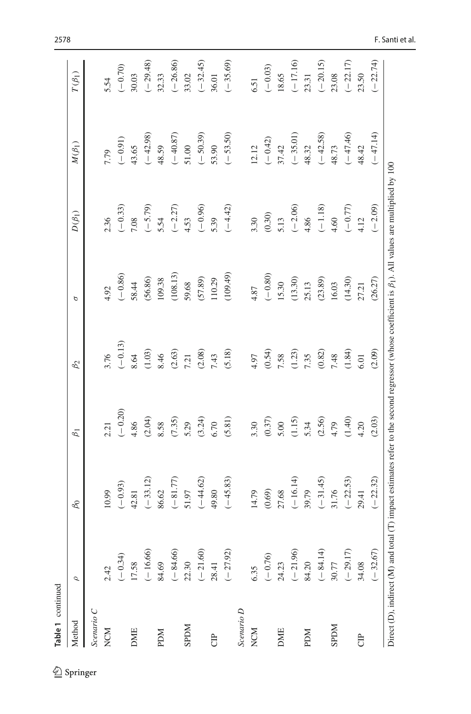| Table 1 continued |            |                                                                                                                                                           |           |           |           |                   |                     |              |
|-------------------|------------|-----------------------------------------------------------------------------------------------------------------------------------------------------------|-----------|-----------|-----------|-------------------|---------------------|--------------|
| Method            | Ó          | $\beta_0$                                                                                                                                                 | $\beta_1$ | $\beta_2$ | р         | $D(\beta_1)$      | $M(\beta_1)$        | $T(\beta_1)$ |
| Scenario C        |            |                                                                                                                                                           |           |           |           |                   |                     |              |
| NCM               | 2.42       | 10.99                                                                                                                                                     | 2.21      | 3.76      | 4.92      | 2.36              | 7.79                | 5.54         |
|                   | $(-0.34)$  | $(-0.93)$                                                                                                                                                 | $(-0.20)$ | $(-0.13)$ | $(-0.86)$ | $(-0.33)$         | $(-0.91)$           | $(-0.70)$    |
| <b>DME</b>        | 17.58      | 42.81                                                                                                                                                     | 4.86      | 8.64      | 58.44     | 7.08              | 43.65               | 30.03        |
|                   | $(-16.66)$ | $(-33.12)$                                                                                                                                                | (2.04)    | (1.03)    | (56.86)   | $(-5.79)$         | $(-42.98)$          | $(-29.48)$   |
| <b>NGd</b>        | 84.69      | 86.62                                                                                                                                                     | 8.58      | 8.46      | 109.38    | 5.54              | 48.59               | 32.33        |
|                   | $(-84.66)$ | $(-81.77)$                                                                                                                                                | (7.35)    | (2.63)    | (108.13)  |                   |                     | $(-26.86)$   |
| <b>NGGS</b>       | 22.30      | 51.97                                                                                                                                                     | 5.29      | 7.21      | 59.68     | $(-2.27)$<br>4.53 | $(-40.87)$<br>51.00 | 33.02        |
|                   | $(-21.60)$ | $(-44.62)$                                                                                                                                                | (3.24)    | (2.08)    | (57.89)   |                   | $(-50.39)$          | $(-32.45)$   |
| <b>B</b>          | 28.41      | 49.80                                                                                                                                                     | 6.70      | 7.43      | 110.29    | $(-0.96)$<br>5.39 | 53.90               | 36.01        |
|                   | $(-27.92)$ | $(-45.83)$                                                                                                                                                | (5.81)    | (5.18)    | (109.49)  | $(-4.42)$         | $(-53.50)$          | $(-35.69)$   |
| Scenario D        |            |                                                                                                                                                           |           |           |           |                   |                     |              |
| NCM               | 6.35       | 14.79                                                                                                                                                     | 3.30      | 4.97      | 4.87      | 3.30              | 12.12               | 6.51         |
|                   | $(-0.76)$  | (0.69)                                                                                                                                                    | (0.37)    | (0.54)    | $(-0.80)$ |                   | $(-0.42)$           | $(-0.03)$    |
| <b>DME</b>        | 24.23      | 27.68                                                                                                                                                     | 5.00      | 7.58      | 15.30     | $(0.30)$<br>5.13  | 37.42               | 18.65        |
|                   | $(-21.96)$ | $(-16.14)$                                                                                                                                                | (1.15)    | (1.23)    | (13.30)   |                   | $(-35.01)$          | $(-17.16)$   |
| <b>NGd</b>        | 84.20      | 39.79                                                                                                                                                     | 5.34      | 7.35      | 25.13     | $(-2.06)$<br>4.86 | 48.32               | 23.31        |
|                   | $(-84.14)$ | $(-31.45)$                                                                                                                                                | (2.56)    | (0.82)    | (23.89)   | $(-1.18)$         | $(-42.58)$          | $(-20.15)$   |
| <b>NGGS</b>       | 30.77      | 31.76                                                                                                                                                     | 4.79      | 7.48      | 16.03     | 4,60              | 48.73               | 23.08        |
|                   | $(-29.17)$ | $(-22.53)$                                                                                                                                                | (1.40)    | (1.84)    | (14.30)   | $(-0.77)$         | $(-47.46)$          | $(-22.17)$   |
| <b>B</b>          | 34.08      | 29.41                                                                                                                                                     | 4.20      | 6.01      | 27.21     | 4.12              | 48.42               | 23.50        |
|                   | $(-32.67)$ | $(-22.32)$                                                                                                                                                | (2.03)    | (2.09)    | (26.27)   | $(-2.09)$         | $(-47.14)$          | $(-22.74)$   |
|                   |            | Direct (D), indirect (M) and total (T) impact estimates refer to the second regressor (whose coefficient is $\beta_1$ ). All values are multiplied by 100 |           |           |           |                   |                     |              |

 $\underline{\textcircled{\tiny 2}}$  Springer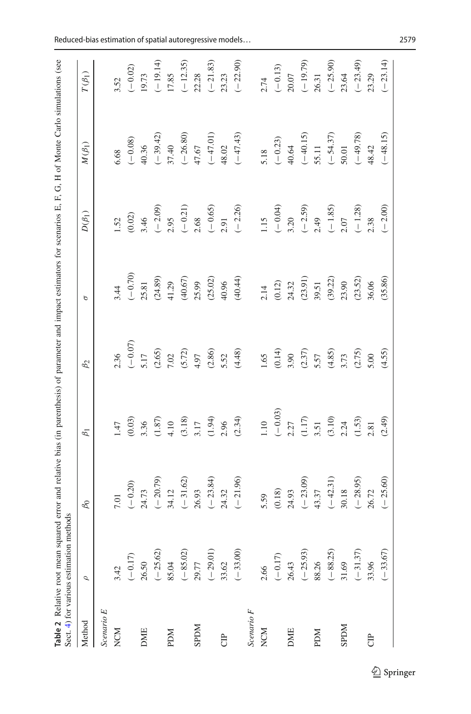<span id="page-16-0"></span>

|             | Sect. 4) for various estimation methods |                     |                                                                 |                                            |                    |                                            | Table 2 Relative root mean squared error and relative bias (in parenthesis) of parameter and impact estimators for scenarios E, F, G, H of Monte Carlo simulations (see |                                  |
|-------------|-----------------------------------------|---------------------|-----------------------------------------------------------------|--------------------------------------------|--------------------|--------------------------------------------|-------------------------------------------------------------------------------------------------------------------------------------------------------------------------|----------------------------------|
| Method      | $\mathcal{Q}$                           | $\beta_0$           | $\beta_1$                                                       | $\beta_2$                                  | $\sigma$           | $D(\beta_1)$                               | $M(\beta_1)$                                                                                                                                                            | $T(\beta_1)$                     |
| Scenario E  |                                         |                     |                                                                 |                                            |                    |                                            |                                                                                                                                                                         |                                  |
| NCM         | 3.42                                    | 7.01                | 1.47                                                            | 2.36                                       | 3.44               | 1.52                                       | 6.68                                                                                                                                                                    | 3.52                             |
|             | $(-0.17)$                               |                     | (0.03)                                                          |                                            | $(-0.70)$          | $(0.02)$                                   |                                                                                                                                                                         |                                  |
| DME         | 26.50                                   | $(-0.20)$<br>24.73  | 3.36                                                            | $\begin{array}{c}(-0.07)\\5.17\end{array}$ | 25.81              | 3.46                                       | $(-0.08)$<br>40.36                                                                                                                                                      |                                  |
|             | $(-25.62)$                              |                     |                                                                 | (2.65)                                     | (24.89)            |                                            | $(-39.42)$                                                                                                                                                              | $(-0.02)$<br>19.73<br>$(-19.14)$ |
| <b>NUG</b>  | 85.04                                   | $(-20.79)$<br>34.12 | $(1.87)$<br>4.10                                                | 7.02                                       | 41.29              | $(-2.09)$<br>2.95                          | 37.40                                                                                                                                                                   | 17.85                            |
|             | $(-85.02)$<br>29.77                     | $(-31.62)$          | (3.18)                                                          | $(5.72)$<br>4.97                           | (40.67)            |                                            |                                                                                                                                                                         |                                  |
| <b>NGGS</b> |                                         | 26.93               | 3.17                                                            |                                            | 25.99              | $(-0.21)$<br>2.68                          | $(-26.80)$<br>47.67                                                                                                                                                     | $(-12.35)$<br>22.28              |
|             | $(-29.01)$<br>33.62                     |                     | $(1.94)$<br>2.96                                                | $(2.86)$<br>5.52                           | (25.02)            | $(-0.65)$<br>2.91                          |                                                                                                                                                                         | $(-21.83)$<br>23.23              |
| <b>FO</b>   |                                         | $(-23.84)$<br>24.32 |                                                                 |                                            | 40.96              |                                            | $(-47.01)$<br>48.02                                                                                                                                                     |                                  |
|             | $(-33.00)$                              | $(-21.96)$          | (2.34)                                                          | (4.48)                                     | (40.44)            | $(-2.26)$                                  | $(-47.43)$                                                                                                                                                              | $(-22.90)$                       |
| Scenario F  |                                         |                     |                                                                 |                                            |                    |                                            |                                                                                                                                                                         |                                  |
| NCM         | 2.66                                    | 5.59                | $1.10\,$                                                        |                                            | 2.14               | 1.15                                       | 5.18                                                                                                                                                                    | 2.74                             |
|             | $(-0.17)$                               |                     |                                                                 | $\frac{1.65}{(0.14)}$                      |                    |                                            |                                                                                                                                                                         |                                  |
| <b>DME</b>  | 26.43                                   | $(0.18)$<br>24.93   |                                                                 |                                            | $(0.12)$<br>24.32  | $(-0.04)$<br>3.20                          | $(-0.23)$<br>40.64                                                                                                                                                      | $(-0.13)$<br>20.07               |
|             | $(-25.93)$                              | $(-23.09)$<br>43.37 | $(-0.03)$<br>$2.27$<br>$(1.17)$<br>$3.51$<br>$(3.10)$<br>$2.24$ |                                            |                    | $(-2.59)$<br>2.49                          | $(-40.15)$<br>55.11                                                                                                                                                     | $(-19.79)$<br>26.31              |
| <b>NUG</b>  | 88.26                                   |                     |                                                                 |                                            | $(23.91)$<br>39.51 |                                            |                                                                                                                                                                         |                                  |
|             | $(-88.25)$                              | $(-42.31)$<br>30.18 |                                                                 | $(2.37)$<br>5.57<br>(4.85)<br>3.73         | (39.22)            |                                            | $(-54.37)$<br>50.01                                                                                                                                                     | $(-25.90)$                       |
| <b>NGGS</b> | 31.69                                   |                     |                                                                 |                                            | 23.90              | $\begin{array}{c}(-1.85)\\2.07\end{array}$ |                                                                                                                                                                         | 23.64                            |
|             | $(-31.37)$                              | $(-28.95)$          | $(1.53)$<br>2.81                                                | $(2.75)$<br>5.00                           | (23.52)            | $(-1.28)$<br>2.38                          | $(-49.78)$                                                                                                                                                              | $(-23.49)$                       |
| <b>合</b>    | 33.96                                   | 26.72               |                                                                 |                                            | 36.06              |                                            | 48.42                                                                                                                                                                   | 23.29                            |
|             | $(-33.67)$                              | $(-25.60)$          | (2.49)                                                          | (4.55)                                     | (35.86)            | $(-2.00)$                                  | $(-48.15)$                                                                                                                                                              | $(-23.14)$                       |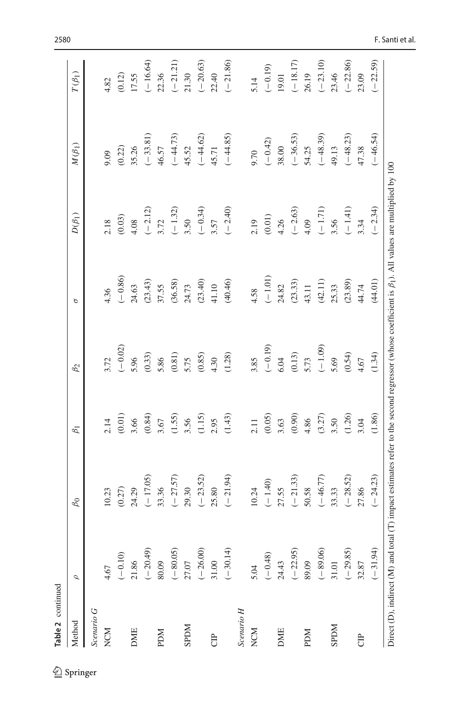| continued |  |
|-----------|--|

| 2 Springer |
|------------|

| <b>Table 2</b> continued          |            |                                                                                                                                                           |                                    |                                                                                                |                                                            |                                                |                                                                                         |                                                |
|-----------------------------------|------------|-----------------------------------------------------------------------------------------------------------------------------------------------------------|------------------------------------|------------------------------------------------------------------------------------------------|------------------------------------------------------------|------------------------------------------------|-----------------------------------------------------------------------------------------|------------------------------------------------|
| Method                            | $\sigma$   | $\beta_0$                                                                                                                                                 | $\beta_1$                          | $\beta_2$                                                                                      | p                                                          | $D(\beta_1)$                                   | $M(\beta_1)$                                                                            | $T(\beta_1)$                                   |
| Scenario G                        |            |                                                                                                                                                           |                                    |                                                                                                |                                                            |                                                |                                                                                         |                                                |
| NCM                               | 4.67       | 10.23                                                                                                                                                     |                                    |                                                                                                | 4.36                                                       |                                                | 60'6                                                                                    | 4.82                                           |
|                                   | $(-0.10)$  | $(0.27)$                                                                                                                                                  | $2.14$<br>(0.01)<br>3.66<br>(0.84) | $3.72$<br>(-0.02)<br>5.96                                                                      | $(-0.86)$                                                  | $\frac{2.18}{0.03}$                            | (0.22)                                                                                  |                                                |
| <b>DME</b>                        | 21.86      | 24.29                                                                                                                                                     |                                    |                                                                                                | 24.63                                                      |                                                | 35.26                                                                                   | $(0.12)$<br>17.55                              |
|                                   | $(-20.49)$ | $(-17.05)$                                                                                                                                                |                                    |                                                                                                | (23.43)                                                    |                                                |                                                                                         |                                                |
| <b>NGd</b>                        | 80.09      | 33.36                                                                                                                                                     |                                    |                                                                                                | 37.55                                                      |                                                |                                                                                         |                                                |
|                                   | $(-80.05)$ | $(-27.57)$                                                                                                                                                | $3.67$<br>(1.55)                   |                                                                                                | (36.58)                                                    | 4.08<br>$(-2.12)$<br>3.72<br>$(-1.32)$<br>3.50 |                                                                                         | $(-16.64)$<br>$22.36$<br>$(-21.21)$<br>$21.30$ |
| <b>NGGS</b>                       | 27.07      | 29.30                                                                                                                                                     | 3.56                               |                                                                                                |                                                            |                                                |                                                                                         |                                                |
|                                   | $(-26.00)$ | $(-23.52)$                                                                                                                                                | (1.15)                             |                                                                                                | $24.73$<br>(23.40)                                         | $(-0.34)$                                      |                                                                                         | $(-20.63)$                                     |
| Ĵ                                 | 31.00      | 25.80                                                                                                                                                     | 2.95                               |                                                                                                |                                                            |                                                |                                                                                         | 22.40                                          |
|                                   | $(-30.14)$ | $(-21.94)$                                                                                                                                                | (1.43)                             | $\begin{array}{l} (0.33) \\ 5.86 \\ (0.81) \\ 5.75 \\ (0.85) \\ 4.30 \\ (1.28) \\ \end{array}$ | $41.10$<br>(40.46)                                         | $3.57$<br>(-2.40)                              | $(-33.81)$<br>46.57<br>$(-44.73)$<br>45.52<br>$(-4.62)$<br>$(-4.62)$<br>45.71<br>44.85) | $(-21.86)$                                     |
| $\label{eq:scenarioI} Scenario~H$ |            |                                                                                                                                                           |                                    |                                                                                                |                                                            |                                                |                                                                                         |                                                |
| <b>NCM</b>                        | 5.04       | 10.24                                                                                                                                                     | 2.11                               | 3.85                                                                                           | 4.58                                                       |                                                | 9.70                                                                                    | 5.14                                           |
|                                   | $(-0.48)$  | $(-1.40)$<br>27.55                                                                                                                                        | (0.05)                             | $(-0.19)$<br>6.04                                                                              | $(-1.01)$<br>24.82                                         | $2.19$<br>(0.01)<br>4.26                       | $(-0.42)$<br>38.00                                                                      | $(-0.19)$<br>19.01                             |
| <b>DME</b>                        | 24.43      |                                                                                                                                                           | 3.63                               |                                                                                                |                                                            |                                                |                                                                                         |                                                |
|                                   | $(-22.95)$ | $(-21.33)$                                                                                                                                                | $(0.90)$<br>4.86                   | $(0.13)$<br>5.73<br>(-1.09)                                                                    | $\begin{array}{c} (23.33) \\ 43.11 \\ (42.11) \end{array}$ | $(-2.63)$<br>4.09<br>$(-1.71)$                 | $(-36.53)$<br>54.25                                                                     | $(-18.17)$<br>26.19                            |
| <b>PDM</b>                        | 89.09      | 50.58                                                                                                                                                     |                                    |                                                                                                |                                                            |                                                |                                                                                         |                                                |
|                                   | $(-89.06)$ | $(-46.77)$                                                                                                                                                | (3.27)                             |                                                                                                |                                                            |                                                | $(-48.39)$<br>49.13                                                                     | $(-23.10)$                                     |
| <b>NGGS</b>                       | 31.01      | 33.33                                                                                                                                                     | 3.50                               |                                                                                                | 25.33                                                      | 3.56                                           |                                                                                         | 23.46                                          |
|                                   | $(-29.85)$ | $(-28.52)$                                                                                                                                                | (1.26)                             | $5.69$<br>(0.54)<br>4.67                                                                       | (23.89)                                                    |                                                | $(-48.23)$                                                                              | $(-22.86)$                                     |
| <b>B</b>                          | 32.87      | 27.86                                                                                                                                                     | 3.04                               |                                                                                                | 44.74                                                      | $(-1.41)$<br>3.34                              | 47.38                                                                                   | 23.09                                          |
|                                   | $(-31.94)$ | $(-24.23)$                                                                                                                                                | (1.86)                             | (1.34)                                                                                         | (44.01)                                                    | $(-2.34)$                                      | $(-46.54)$                                                                              | $-22.59$                                       |
|                                   |            | Direct (D), indirect (M) and total (T) impact estimates refer to the second regressor (whose coefficient is $\beta_1$ ). All values are multiplied by 100 |                                    |                                                                                                |                                                            |                                                |                                                                                         |                                                |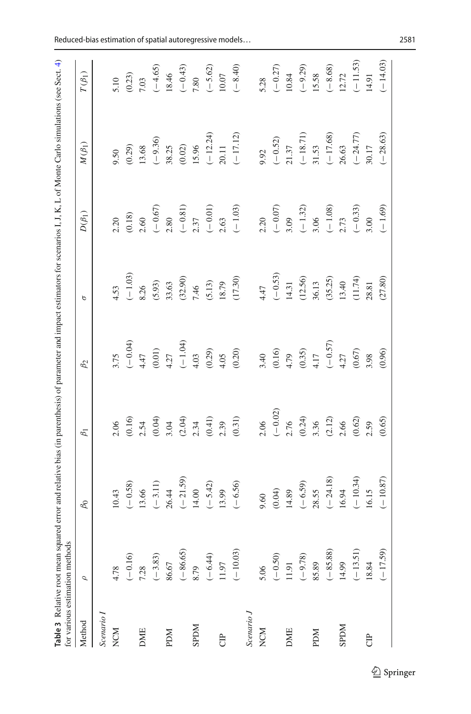<span id="page-18-0"></span>

| ł                                                                                                                                                                           |                                                                                    |
|-----------------------------------------------------------------------------------------------------------------------------------------------------------------------------|------------------------------------------------------------------------------------|
| i<br>ŗQr<br>ļ<br>i<br>١<br>ļ<br>j<br>l<br>j<br>.<br>.<br>.<br>j<br>l<br>$\frac{1}{2}$<br>ı<br>i<br>١<br>ì<br>í<br>l<br>į<br>ì<br>ļ<br>I<br>ׇ֧֚֕<br>l<br>֚֚֬֕<br>į<br>j<br>ï | i<br>j<br>mathor<br>ì<br>ł<br>こうしん かくりょうしょう じょうくうきょう<br>١<br>١<br>j<br>j<br>i<br>١ |

|              | $\mathcal{Q}$ | $\beta_0$                                     | $\beta_1$                                            | $\beta_2$                                                         | $\sigma$           | $D(\beta_1)$                                                                        | $M(\beta_1)$                                                                   | $T(\beta_1)$       |
|--------------|---------------|-----------------------------------------------|------------------------------------------------------|-------------------------------------------------------------------|--------------------|-------------------------------------------------------------------------------------|--------------------------------------------------------------------------------|--------------------|
| Scenario I   |               |                                               |                                                      |                                                                   |                    |                                                                                     |                                                                                |                    |
| <b>NCM</b>   | 4.78          | 10.43                                         | 2.06                                                 | 3.75                                                              | 4.53               | 2.20                                                                                | 9.50                                                                           |                    |
|              | $(-0.16)$     | $(-0.58)$                                     |                                                      |                                                                   |                    | $(0.18)$                                                                            | (0.29)                                                                         | $5.10$<br>(0.23)   |
| <b>DME</b>   | 7.28          | 13.66                                         | $(0.16)$<br>2.54                                     | $(-0.04)$<br>4.47                                                 | $(-1.03)$<br>8.26  | 2.60                                                                                | 13.68                                                                          | 7.03               |
|              | $(-3.83)$     |                                               | (0.04)                                               | $(0.01)$<br>4.27                                                  | (5.93)             |                                                                                     |                                                                                | $(-4.65)$<br>18.46 |
| <b>NGd</b>   | 86.67         |                                               |                                                      |                                                                   | 33.63              |                                                                                     |                                                                                |                    |
|              | $(-86.65)$    | $(-3.11)$<br>$26.44$<br>$(-21.59)$<br>$14.00$ |                                                      |                                                                   |                    |                                                                                     |                                                                                |                    |
| <b>NIGRS</b> | 8.79          |                                               |                                                      |                                                                   | $(32.90)$<br>7.46  |                                                                                     |                                                                                | $(-0.43)$<br>7.80  |
|              | $(-6.44)$     | $(-5.42)$                                     | $3.04$<br>$(2.04)$<br>$2.34$<br>$(0.41)$<br>$(0.41)$ | $(-1.04)$<br>$+ .03$<br>$+ .03$<br>$+ .05$<br>$+ .05$<br>$+ .020$ | (5.13)             | $\begin{array}{l} (-0.67) \\ ( -0.81) \\ (-0.81) \\ 2.37 \\ (-0.01) \\ \end{array}$ | $(-9.36)$<br>38.25<br>(0.02)<br>15.96<br>15.24)<br>$(-12.24)$<br>20.11         |                    |
| <b>B</b>     | 11.97         | 13.99                                         |                                                      |                                                                   | 18.79              |                                                                                     |                                                                                | $(-5.62)$ 10.07    |
|              | $(-10.03)$    | $(-6.56)$                                     | (0.31)                                               |                                                                   | (17.30)            | $(-1.03)$                                                                           |                                                                                | $(-8.40)$          |
| Scenario J   |               |                                               |                                                      |                                                                   |                    |                                                                                     |                                                                                |                    |
| NCM          | 5.06          | 9.60                                          | 2.06                                                 |                                                                   | 4.47               | 2.20                                                                                | 9.92                                                                           | 5.28               |
|              | $(-0.50)$     | (0.04)                                        | $(-0.02)$<br>2.76                                    | $3.40$<br>(0.16)<br>4.79<br>4.17<br>(0.35)                        | $(-0.53)$<br>14.31 | $(-0.07)$<br>3.09<br>$(-1.32)$<br>3.06<br>3.06<br>$(-1.08)$                         |                                                                                | $(-0.27)$<br>10.84 |
| <b>DME</b>   | 11.91         | 14.89                                         |                                                      |                                                                   |                    |                                                                                     |                                                                                |                    |
|              | $(-9.78)$     | $(-6.59)$                                     |                                                      |                                                                   | (12.56)            |                                                                                     |                                                                                |                    |
| <b>NGd</b>   | 85.89         | 28.55                                         |                                                      |                                                                   | 36.13              |                                                                                     |                                                                                | $(-9.29)$<br>15.58 |
|              | $(-85.88)$    | $(-24.18)$                                    | $(0.24)$<br>3.36<br>$(2.12)$<br>2.66                 | $\begin{array}{c}(-0.57)\\4.27\end{array}$                        | (35.25)            |                                                                                     | $\begin{array}{ll}(-0.52)\\21.37\\(-18.71)\\31.53\\(-17.68)\\26.63\end{array}$ | $(-8.68)$<br>12.72 |
| <b>NGGS</b>  | 14.99         | 16.94                                         |                                                      |                                                                   | 13.40              |                                                                                     |                                                                                |                    |
|              | $(-13.51)$    | $(-10.34)$                                    | $(0.62)$                                             | $(0.67)$<br>3.98                                                  | (11.74)            | $(-0.33)$<br>3.00                                                                   | $(-24.77)$<br>30.17                                                            | $(-11.53)$         |
| Ê            | 18.84         | 16.15                                         | 2.59                                                 |                                                                   | 28.81              |                                                                                     |                                                                                | 14.91              |
|              | $(-17.59)$    | $(-10.87)$                                    | (0.65)                                               | (0.96)                                                            | (27.80)            | $(-1.69)$                                                                           | $(-28.63)$                                                                     | $(-14.03)$         |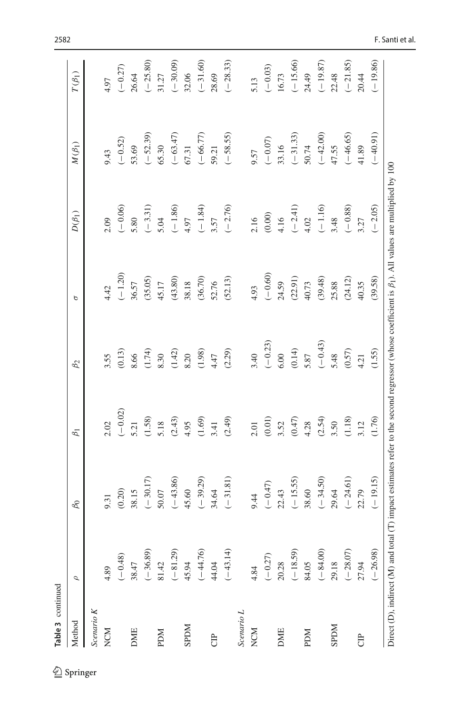| <b>Table 3</b> continued |            |                                                                                                                                                           |                          |                  |           |                                                       |                     |              |
|--------------------------|------------|-----------------------------------------------------------------------------------------------------------------------------------------------------------|--------------------------|------------------|-----------|-------------------------------------------------------|---------------------|--------------|
| Method                   | $\sigma$   | $\beta_0$                                                                                                                                                 | $\beta_1$                | $\beta_2$        | р         | $D(\beta_1)$                                          | $M(\beta_1)$        | $T(\beta_1)$ |
| Scenario $K$             |            |                                                                                                                                                           |                          |                  |           |                                                       |                     |              |
| <b>NCM</b>               | 4.89       | 9.31                                                                                                                                                      | 2.02                     | 3.55             | 4.42      | 2.09                                                  | 9.43                | 4.97         |
|                          | $(-0.48)$  | (0.20)                                                                                                                                                    | $(-0.02)$                | (0.13)           | $(-1.20)$ | $(-0.06)$                                             | $(-0.52)$           | $(-0.27)$    |
| <b>DME</b>               | 38.47      | 38.15                                                                                                                                                     | 5.21                     | 8.66             | 36.57     | 5.80                                                  | 53.69               | 26.64        |
|                          | $(-36.89)$ | $(-30.17)$                                                                                                                                                | (1.58)                   | (1.74)           | (35.05)   |                                                       |                     | $(-25.80)$   |
| <b>NGd</b>               | 81.42      | 50.07                                                                                                                                                     | 5.18                     | 8.30             | 45.17     | $(-3.31)$<br>5.04<br>$(-1.86)$<br>4.97                | $(-52.39)$<br>65.30 | 31.27        |
|                          | $(-81.29)$ | $(-43.86)$                                                                                                                                                | (2.43)                   | (1.42)           | (43.80)   |                                                       |                     | $(-30.09)$   |
| <b>NGGS</b>              | 45.94      | 45.60                                                                                                                                                     |                          | 8.20             | 38.18     |                                                       | $(-63.47)$<br>67.31 | 32.06        |
|                          | $(-44.76)$ | $(-39.29)$                                                                                                                                                | $4.95$<br>(1.69)<br>3.41 |                  | (36.70)   |                                                       |                     | $(-31.60)$   |
| <b>B</b>                 | 44.04      | 34.64                                                                                                                                                     |                          | $(1.98)$<br>4.47 | 52.76     | $\begin{array}{c}(-1.84)\\ 3.57\end{array}$           | $(-66.77)$<br>59.21 | 28.69        |
|                          | $(-43.14)$ | $(-31.81)$                                                                                                                                                | (2.49)                   | (2.29)           | (52.13)   | $(-2.76)$                                             | $(-58.55)$          | $(-28.33)$   |
| Scenario L               |            |                                                                                                                                                           |                          |                  |           |                                                       |                     |              |
| <b>NCM</b>               | 4.84       | 9.44                                                                                                                                                      | 2.01                     | 3.40             | 4.93      |                                                       | 9.57                | 5.13         |
|                          | $(-0.27)$  | $(-0.47)$                                                                                                                                                 |                          | $(-0.23)$        | $(-0.60)$ | $\begin{array}{c} 2.16 \\ (0.00) \\ 4.16 \end{array}$ |                     | $(-0.03)$    |
| <b>DME</b>               | 20.28      | 22.43                                                                                                                                                     | $(0.01)$<br>3.52         | 6.00             | 24.59     |                                                       | $(-0.07)$<br>33.16  | 16.73        |
|                          | $(-18.59)$ | $(-15.55)$                                                                                                                                                | (0.47)                   | (0.14)           | (22.91)   |                                                       | $(-31.33)$          | $(-15.66)$   |
| <b>NGd</b>               | 84.05      | 38.60                                                                                                                                                     | 4.28                     | 5.87             | 40.73     |                                                       | 50.74               | 24.49        |
|                          | $(-84.00)$ | $(-34.50)$                                                                                                                                                | (2.54)                   | $(-0.43)$        | (39.48)   | $(-2.41)$<br>$4.02$<br>$(-1.16)$<br>$3.48$            | $(-42.00)$          | $(-19.87)$   |
| <b>NGGS</b>              | 29.18      | 29.64                                                                                                                                                     | 3.50                     | 5.48             | 25.88     |                                                       | 47.55               | 22.48        |
|                          | $(-28.07)$ | $(-24.61)$                                                                                                                                                | (1.18)                   | $(0.57)$         | (24.12)   | $(-0.88)$ $3.27$                                      | $(-46.65)$          | $(-21.85)$   |
| <b>B</b>                 | 27.94      | 22.79                                                                                                                                                     | 3.12                     | 4.21             | 40.35     |                                                       | 41.89               | 20.44        |
|                          | $(-26.98)$ | $(-19.15)$                                                                                                                                                | (1.76)                   | (1.55)           | (39.58)   | $(-2.05)$                                             | $(-40.91)$          | $(-19.86)$   |
|                          |            | Direct (D), indirect (M) and total (T) impact estimates refer to the second regressor (whose coefficient is $\beta_1$ ). All values are multiplied by 100 |                          |                  |           |                                                       |                     |              |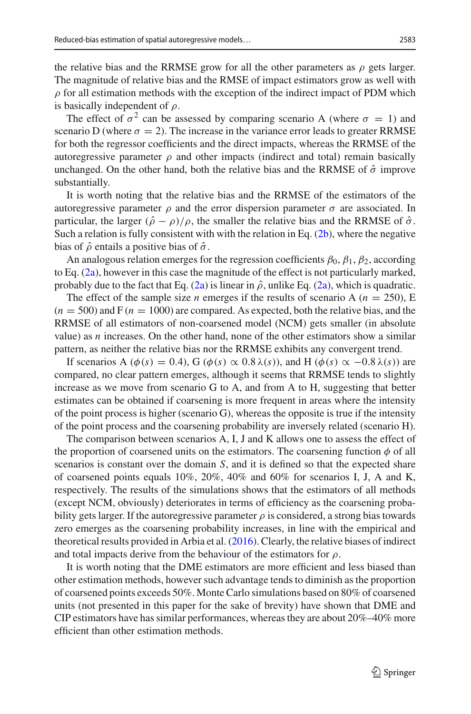the relative bias and the RRMSE grow for all the other parameters as  $\rho$  gets larger. The magnitude of relative bias and the RMSE of impact estimators grow as well with  $\rho$  for all estimation methods with the exception of the indirect impact of PDM which is basically independent of  $\rho$ .

The effect of  $\sigma^2$  can be assessed by comparing scenario A (where  $\sigma = 1$ ) and scenario D (where  $\sigma = 2$ ). The increase in the variance error leads to greater RRMSE for both the regressor coefficients and the direct impacts, whereas the RRMSE of the autoregressive parameter  $\rho$  and other impacts (indirect and total) remain basically unchanged. On the other hand, both the relative bias and the RRMSE of  $\hat{\sigma}$  improve substantially.

It is worth noting that the relative bias and the RRMSE of the estimators of the autoregressive parameter  $\rho$  and the error dispersion parameter  $\sigma$  are associated. In particular, the larger  $(\hat{\rho} - \rho)/\rho$ , the smaller the relative bias and the RRMSE of  $\hat{\sigma}$ . Such a relation is fully consistent with with the relation in Eq.  $(2b)$ , where the negative bias of  $\hat{\rho}$  entails a positive bias of  $\hat{\sigma}$ .

An analogous relation emerges for the regression coefficients  $\beta_0$ ,  $\beta_1$ ,  $\beta_2$ , according to Eq. [\(2a\)](#page-2-3), however in this case the magnitude of the effect is not particularly marked, probably due to the fact that Eq. [\(2a\)](#page-2-3) is linear in  $\hat{\rho}$ , unlike Eq. (2a), which is quadratic.

The effect of the sample size *n* emerges if the results of scenario A ( $n = 250$ ), E  $(n = 500)$  and F  $(n = 1000)$  are compared. As expected, both the relative bias, and the RRMSE of all estimators of non-coarsened model (NCM) gets smaller (in absolute value) as *n* increases. On the other hand, none of the other estimators show a similar pattern, as neither the relative bias nor the RRMSE exhibits any convergent trend.

If scenarios A ( $\phi(s) = 0.4$ ), G ( $\phi(s) \propto 0.8 \lambda(s)$ ), and H ( $\phi(s) \propto -0.8 \lambda(s)$ ) are compared, no clear pattern emerges, although it seems that RRMSE tends to slightly increase as we move from scenario G to A, and from A to H, suggesting that better estimates can be obtained if coarsening is more frequent in areas where the intensity of the point process is higher (scenario G), whereas the opposite is true if the intensity of the point process and the coarsening probability are inversely related (scenario H).

The comparison between scenarios A, I, J and K allows one to assess the effect of the proportion of coarsened units on the estimators. The coarsening function  $\phi$  of all scenarios is constant over the domain *S*, and it is defined so that the expected share of coarsened points equals 10%, 20%, 40% and 60% for scenarios I, J, A and K, respectively. The results of the simulations shows that the estimators of all methods (except NCM, obviously) deteriorates in terms of efficiency as the coarsening probability gets larger. If the autoregressive parameter  $\rho$  is considered, a strong bias towards zero emerges as the coarsening probability increases, in line with the empirical and theoretical results provided in Arbia et al[.](#page-27-5) [\(2016](#page-27-5)). Clearly, the relative biases of indirect and total impacts derive from the behaviour of the estimators for  $\rho$ .

It is worth noting that the DME estimators are more efficient and less biased than other estimation methods, however such advantage tends to diminish as the proportion of coarsened points exceeds 50%. Monte Carlo simulations based on 80% of coarsened units (not presented in this paper for the sake of brevity) have shown that DME and CIP estimators have has similar performances, whereas they are about 20%–40% more efficient than other estimation methods.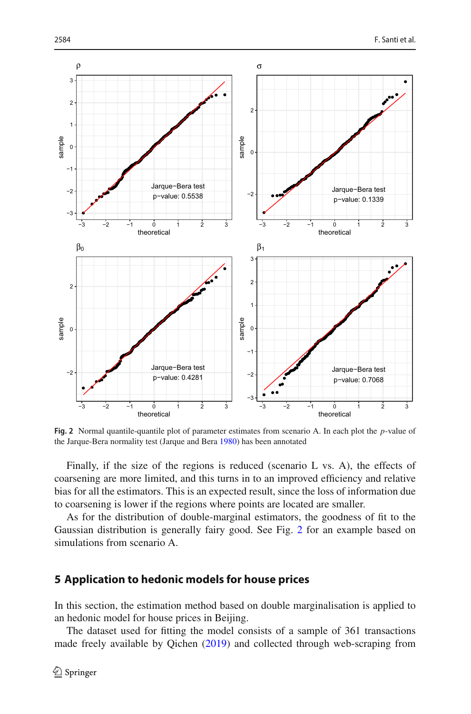

<span id="page-21-1"></span>**Fig. 2** Normal quantile-quantile plot of parameter estimates from scenario A. In each plot the *p*-value of the Jarque-Bera normality test (Jarque and Ber[a](#page-27-28) [1980\)](#page-27-28) has been annotated

Finally, if the size of the regions is reduced (scenario L vs. A), the effects of coarsening are more limited, and this turns in to an improved efficiency and relative bias for all the estimators. This is an expected result, since the loss of information due to coarsening is lower if the regions where points are located are smaller.

As for the distribution of double-marginal estimators, the goodness of fit to the Gaussian distribution is generally fairy good. See Fig. [2](#page-21-1) for an example based on simulations from scenario A.

## <span id="page-21-0"></span>**5 Application to hedonic models for house prices**

In this section, the estimation method based on double marginalisation is applied to an hedonic model for house prices in Beijing.

The dataset used for fitting the model consists of a sample of 361 transactions made freely available by Qiche[n](#page-27-29) [\(2019\)](#page-27-29) and collected through web-scraping from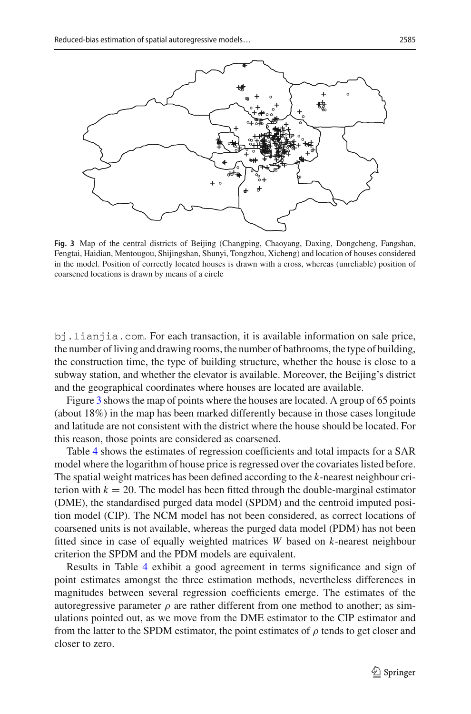

<span id="page-22-0"></span>**Fig. 3** Map of the central districts of Beijing (Changping, Chaoyang, Daxing, Dongcheng, Fangshan, Fengtai, Haidian, Mentougou, Shijingshan, Shunyi, Tongzhou, Xicheng) and location of houses considered in the model. Position of correctly located houses is drawn with a cross, whereas (unreliable) position of coarsened locations is drawn by means of a circle

bj.lianjia.com. For each transaction, it is available information on sale price, the number of living and drawing rooms, the number of bathrooms, the type of building, the construction time, the type of building structure, whether the house is close to a subway station, and whether the elevator is available. Moreover, the Beijing's district and the geographical coordinates where houses are located are available.

Figure [3](#page-22-0) shows the map of points where the houses are located. A group of 65 points (about 18%) in the map has been marked differently because in those cases longitude and latitude are not consistent with the district where the house should be located. For this reason, those points are considered as coarsened.

Table [4](#page-23-1) shows the estimates of regression coefficients and total impacts for a SAR model where the logarithm of house price is regressed over the covariates listed before. The spatial weight matrices has been defined according to the *k*-nearest neighbour criterion with  $k = 20$ . The model has been fitted through the double-marginal estimator (DME), the standardised purged data model (SPDM) and the centroid imputed position model (CIP). The NCM model has not been considered, as correct locations of coarsened units is not available, whereas the purged data model (PDM) has not been fitted since in case of equally weighted matrices *W* based on *k*-nearest neighbour criterion the SPDM and the PDM models are equivalent.

Results in Table [4](#page-23-1) exhibit a good agreement in terms significance and sign of point estimates amongst the three estimation methods, nevertheless differences in magnitudes between several regression coefficients emerge. The estimates of the autoregressive parameter  $\rho$  are rather different from one method to another; as simulations pointed out, as we move from the DME estimator to the CIP estimator and from the latter to the SPDM estimator, the point estimates of  $\rho$  tends to get closer and closer to zero.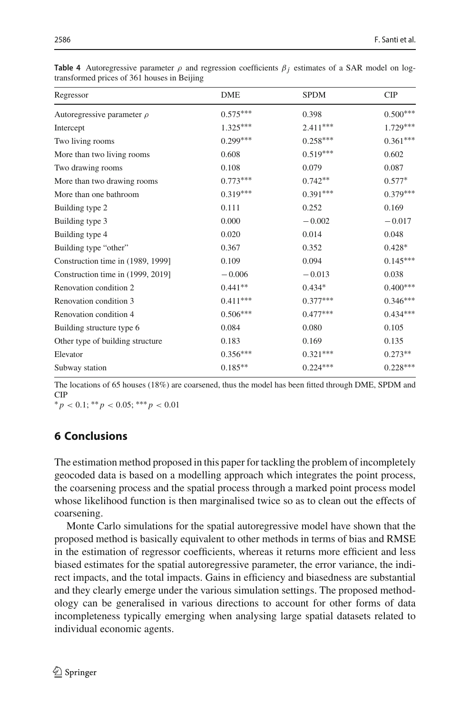| Regressor                         | <b>DME</b> | <b>SPDM</b> | <b>CIP</b>      |
|-----------------------------------|------------|-------------|-----------------|
| Autoregressive parameter $\rho$   | $0.575***$ | 0.398       | $0.500^{***}\,$ |
| Intercept                         | $1.325***$ | $2.411***$  | $1.729***$      |
| Two living rooms                  | $0.299***$ | $0.258***$  | $0.361***$      |
| More than two living rooms        | 0.608      | $0.519***$  | 0.602           |
| Two drawing rooms                 | 0.108      | 0.079       | 0.087           |
| More than two drawing rooms       | $0.773***$ | $0.742**$   | $0.577*$        |
| More than one bathroom            | $0.319***$ | $0.391***$  | $0.379***$      |
| Building type 2                   | 0.111      | 0.252       | 0.169           |
| Building type 3                   | 0.000      | $-0.002$    | $-0.017$        |
| Building type 4                   | 0.020      | 0.014       | 0.048           |
| Building type "other"             | 0.367      | 0.352       | $0.428*$        |
| Construction time in (1989, 1999] | 0.109      | 0.094       | $0.145***$      |
| Construction time in (1999, 2019] | $-0.006$   | $-0.013$    | 0.038           |
| Renovation condition 2            | $0.441**$  | $0.434*$    | $0.400***$      |
| Renovation condition 3            | $0.411***$ | $0.377***$  | $0.346***$      |
| Renovation condition 4            | $0.506***$ | $0.477***$  | $0.434***$      |
| Building structure type 6         | 0.084      | 0.080       | 0.105           |
| Other type of building structure  | 0.183      | 0.169       | 0.135           |
| Elevator                          | $0.356***$ | $0.321***$  | $0.273**$       |
| Subway station                    | $0.185**$  | $0.224***$  | $0.228***$      |

<span id="page-23-1"></span>**Table 4** Autoregressive parameter  $\rho$  and regression coefficients  $\beta_i$  estimates of a SAR model on logtransformed prices of 361 houses in Beijing

The locations of 65 houses (18%) are coarsened, thus the model has been fitted through DME, SPDM and CIP

∗ *p* < 0.1; ∗∗ *p* < 0.05; ∗∗∗ *p* < 0.01

## <span id="page-23-0"></span>**6 Conclusions**

The estimation method proposed in this paper for tackling the problem of incompletely geocoded data is based on a modelling approach which integrates the point process, the coarsening process and the spatial process through a marked point process model whose likelihood function is then marginalised twice so as to clean out the effects of coarsening.

Monte Carlo simulations for the spatial autoregressive model have shown that the proposed method is basically equivalent to other methods in terms of bias and RMSE in the estimation of regressor coefficients, whereas it returns more efficient and less biased estimates for the spatial autoregressive parameter, the error variance, the indirect impacts, and the total impacts. Gains in efficiency and biasedness are substantial and they clearly emerge under the various simulation settings. The proposed methodology can be generalised in various directions to account for other forms of data incompleteness typically emerging when analysing large spatial datasets related to individual economic agents.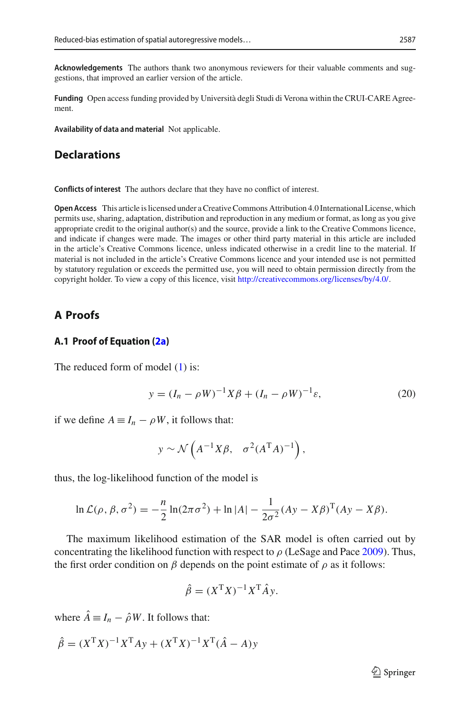**Acknowledgements** The authors thank two anonymous reviewers for their valuable comments and suggestions, that improved an earlier version of the article.

**Funding** Open access funding provided by Università degli Studi di Verona within the CRUI-CARE Agreement.

**Availability of data and material** Not applicable.

## **Declarations**

**Conflicts of interest** The authors declare that they have no conflict of interest.

**Open Access** This article is licensed under a Creative Commons Attribution 4.0 International License, which permits use, sharing, adaptation, distribution and reproduction in any medium or format, as long as you give appropriate credit to the original author(s) and the source, provide a link to the Creative Commons licence, and indicate if changes were made. The images or other third party material in this article are included in the article's Creative Commons licence, unless indicated otherwise in a credit line to the material. If material is not included in the article's Creative Commons licence and your intended use is not permitted by statutory regulation or exceeds the permitted use, you will need to obtain permission directly from the copyright holder. To view a copy of this licence, visit [http://creativecommons.org/licenses/by/4.0/.](http://creativecommons.org/licenses/by/4.0/)

## <span id="page-24-0"></span>**A Proofs**

### **A.1 Proof of Equation [\(2a\)](#page-2-3)**

The reduced form of model [\(1\)](#page-2-1) is:

<span id="page-24-1"></span>
$$
y = (I_n - \rho W)^{-1} X \beta + (I_n - \rho W)^{-1} \varepsilon,
$$
 (20)

if we define  $A \equiv I_n - \rho W$ , it follows that:

$$
y \sim \mathcal{N}\left(A^{-1}X\beta, \sigma^2(A^TA)^{-1}\right),
$$

thus, the log-likelihood function of the model is

$$
\ln \mathcal{L}(\rho, \beta, \sigma^2) = -\frac{n}{2} \ln(2\pi\sigma^2) + \ln|A| - \frac{1}{2\sigma^2} (Ay - X\beta)^T (Ay - X\beta).
$$

The maximum likelihood estimation of the SAR model is often carried out by conc[e](#page-27-8)ntrating the likelihood function with respect to  $\rho$  (LeSage and Pace [2009\)](#page-27-8). Thus, the first order condition on  $\beta$  depends on the point estimate of  $\rho$  as it follows:

$$
\hat{\beta} = (X^{\mathrm{T}} X)^{-1} X^{\mathrm{T}} \hat{A} y.
$$

where  $\hat{A} \equiv I_n - \hat{\rho}W$ . It follows that:

$$
\hat{\beta} = (X^{\mathrm{T}} X)^{-1} X^{\mathrm{T}} A y + (X^{\mathrm{T}} X)^{-1} X^{\mathrm{T}} (\hat{A} - A) y
$$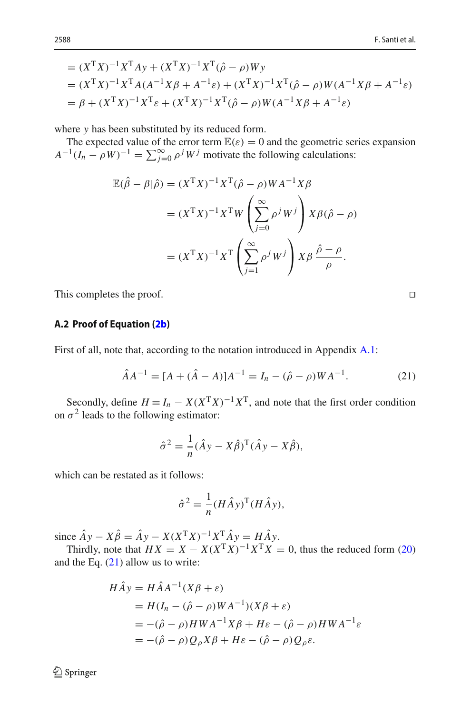= 
$$
(X^T X)^{-1} X^T A y + (X^T X)^{-1} X^T (\hat{\rho} - \rho) W y
$$
  
\n=  $(X^T X)^{-1} X^T A (A^{-1} X \beta + A^{-1} \varepsilon) + (X^T X)^{-1} X^T (\hat{\rho} - \rho) W (A^{-1} X \beta + A^{-1} \varepsilon)$   
\n=  $\beta + (X^T X)^{-1} X^T \varepsilon + (X^T X)^{-1} X^T (\hat{\rho} - \rho) W (A^{-1} X \beta + A^{-1} \varepsilon)$ 

where *y* has been substituted by its reduced form.

The expected value of the error term  $\mathbb{E}(\varepsilon) = 0$  and the geometric series expansion  $A^{-1}(I_n - \rho W)^{-1} = \sum_{j=0}^{\infty} \rho^j W^j$  motivate the following calculations:

$$
\mathbb{E}(\hat{\beta} - \beta|\hat{\rho}) = (X^{\mathrm{T}}X)^{-1}X^{\mathrm{T}}(\hat{\rho} - \rho)WA^{-1}X\beta
$$
  

$$
= (X^{\mathrm{T}}X)^{-1}X^{\mathrm{T}}W\left(\sum_{j=0}^{\infty} \rho^{j}W^{j}\right)X\beta(\hat{\rho} - \rho)
$$
  

$$
= (X^{\mathrm{T}}X)^{-1}X^{\mathrm{T}}\left(\sum_{j=1}^{\infty} \rho^{j}W^{j}\right)X\beta\frac{\hat{\rho} - \rho}{\rho}.
$$

This completes the proof.

### <span id="page-25-0"></span>**A.2 Proof of Equation [\(2b\)](#page-3-0)**

First of all, note that, according to the notation introduced in Appendix [A.1:](#page-24-0)

<span id="page-25-1"></span>
$$
\hat{A}A^{-1} = [A + (\hat{A} - A)]A^{-1} = I_n - (\hat{\rho} - \rho)WA^{-1}.
$$
 (21)

Secondly, define  $H \equiv I_n - X(X^T X)^{-1} X^T$ , and note that the first order condition on  $\sigma^2$  leads to the following estimator:

$$
\hat{\sigma}^2 = \frac{1}{n} (\hat{A}y - X\hat{\beta})^{\mathrm{T}} (\hat{A}y - X\hat{\beta}),
$$

which can be restated as it follows:

$$
\hat{\sigma}^2 = \frac{1}{n} (H \hat{A} y)^{\text{T}} (H \hat{A} y),
$$

since  $\hat{A}y - X\hat{\beta} = \hat{A}y - X(X^{\mathsf{T}}X)^{-1}X_{\mathsf{T}}^{\mathsf{T}}\hat{A}y = H\hat{A}y$ .

Thirdly, note that  $HX = X - X(X^{\mathsf{T}}X)^{-1}X^{\mathsf{T}}X = 0$ , thus the reduced form [\(20\)](#page-24-1) and the Eq.  $(21)$  allow us to write:

$$
H\hat{A}y = H\hat{A}A^{-1}(X\beta + \varepsilon)
$$
  
=  $H(I_n - (\hat{\rho} - \rho)WA^{-1})(X\beta + \varepsilon)$   
=  $-(\hat{\rho} - \rho)HWA^{-1}X\beta + H\varepsilon - (\hat{\rho} - \rho)HWA^{-1}\varepsilon$   
=  $-(\hat{\rho} - \rho)Q_{\rho}X\beta + H\varepsilon - (\hat{\rho} - \rho)Q_{\rho}\varepsilon$ .

<sup>2</sup> Springer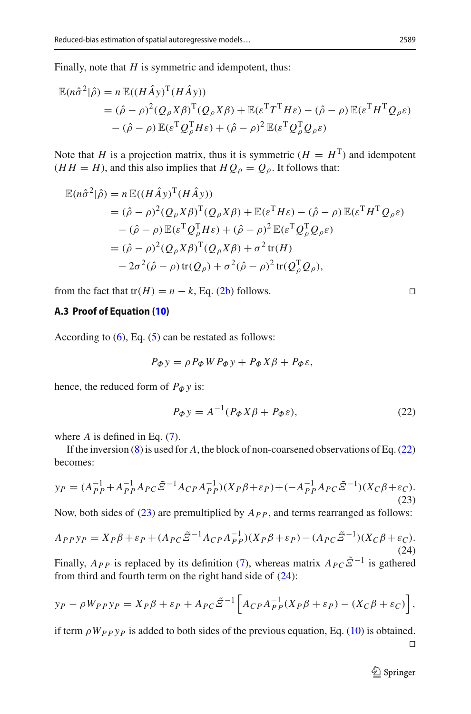Finally, note that *H* is symmetric and idempotent, thus:

$$
\mathbb{E}(n\hat{\sigma}^2|\hat{\rho}) = n \mathbb{E}((H\hat{A}y)^T(H\hat{A}y))
$$
  
=  $(\hat{\rho} - \rho)^2 (Q_{\rho}X\beta)^T (Q_{\rho}X\beta) + \mathbb{E}(\varepsilon^T T^T H\varepsilon) - (\hat{\rho} - \rho) \mathbb{E}(\varepsilon^T H^T Q_{\rho}\varepsilon)$   
 $- (\hat{\rho} - \rho) \mathbb{E}(\varepsilon^T Q_{\rho}^T H\varepsilon) + (\hat{\rho} - \rho)^2 \mathbb{E}(\varepsilon^T Q_{\rho}^T Q_{\rho}\varepsilon)$ 

Note that *H* is a projection matrix, thus it is symmetric ( $H = H<sup>T</sup>$ ) and idempotent  $(HH = H)$ , and this also implies that  $HQ_\rho = Q_\rho$ . It follows that:

$$
\mathbb{E}(n\hat{\sigma}^2|\hat{\rho}) = n \mathbb{E}((H\hat{A}y)^T(H\hat{A}y))
$$
  
\n
$$
= (\hat{\rho} - \rho)^2 (Q_{\rho}X\beta)^T (Q_{\rho}X\beta) + \mathbb{E}(\varepsilon^T H\varepsilon) - (\hat{\rho} - \rho) \mathbb{E}(\varepsilon^T H^T Q_{\rho}\varepsilon)
$$
  
\n
$$
- (\hat{\rho} - \rho) \mathbb{E}(\varepsilon^T Q_{\rho}^T H\varepsilon) + (\hat{\rho} - \rho)^2 \mathbb{E}(\varepsilon^T Q_{\rho}^T Q_{\rho}\varepsilon)
$$
  
\n
$$
= (\hat{\rho} - \rho)^2 (Q_{\rho}X\beta)^T (Q_{\rho}X\beta) + \sigma^2 \text{tr}(H)
$$
  
\n
$$
-2\sigma^2 (\hat{\rho} - \rho) \text{tr}(Q_{\rho}) + \sigma^2 (\hat{\rho} - \rho)^2 \text{tr}(Q_{\rho}^T Q_{\rho}),
$$

<span id="page-26-0"></span>from the fact that tr( $H$ ) =  $n - k$ , Eq. [\(2b\)](#page-3-0) follows.

### **A.3 Proof of Equation [\(10\)](#page-5-3)**

According to  $(6)$ , Eq.  $(5)$  can be restated as follows:

$$
P_{\Phi} y = \rho P_{\Phi} W P_{\Phi} y + P_{\Phi} X \beta + P_{\Phi} \varepsilon,
$$

hence, the reduced form of  $P_{\Phi}$  *y* is:

<span id="page-26-1"></span>
$$
P_{\Phi} y = A^{-1} (P_{\Phi} X \beta + P_{\Phi} \varepsilon), \qquad (22)
$$

where *A* is defined in Eq. [\(7\)](#page-5-5).

If the inversion [\(8\)](#page-5-1) is used for *A*, the block of non-coarsened observations of Eq. [\(22\)](#page-26-1) becomes:

<span id="page-26-2"></span>
$$
y_P = (A_{PP}^{-1} + A_{PP}^{-1} A_{PC} \tilde{\Xi}^{-1} A_{CP} A_{PP}^{-1}) (X_P \beta + \varepsilon_P) + (-A_{PP}^{-1} A_{PC} \tilde{\Xi}^{-1}) (X_C \beta + \varepsilon_C).
$$
\n(23)

Now, both sides of  $(23)$  are premultiplied by  $A_{PP}$ , and terms rearranged as follows:

<span id="page-26-3"></span>
$$
A_{PP}\gamma_P = X_P \beta + \varepsilon_P + (A_{PC}\tilde{\mathcal{Z}}^{-1}A_{CP}A_{PP}^{-1})(X_P \beta + \varepsilon_P) - (A_{PC}\tilde{\mathcal{Z}}^{-1})(X_C \beta + \varepsilon_C). \tag{24}
$$

Finally,  $A_{PP}$  is replaced by its definition [\(7\)](#page-5-5), whereas matrix  $A_{PC}\tilde{\mathcal{Z}}^{-1}$  is gathered from third and fourth term on the right hand side of [\(24\)](#page-26-3):

$$
y_P - \rho W_{PP} y_P = X_P \beta + \varepsilon_P + A_{PC} \tilde{\Xi}^{-1} \left[ A_{CP} A_{PP}^{-1} (X_P \beta + \varepsilon_P) - (X_C \beta + \varepsilon_C) \right],
$$

if term  $\rho W_{PP}$  *y*<sub>P</sub> is added to both sides of the previous equation, Eq. [\(10\)](#page-5-3) is obtained.  $\Box$